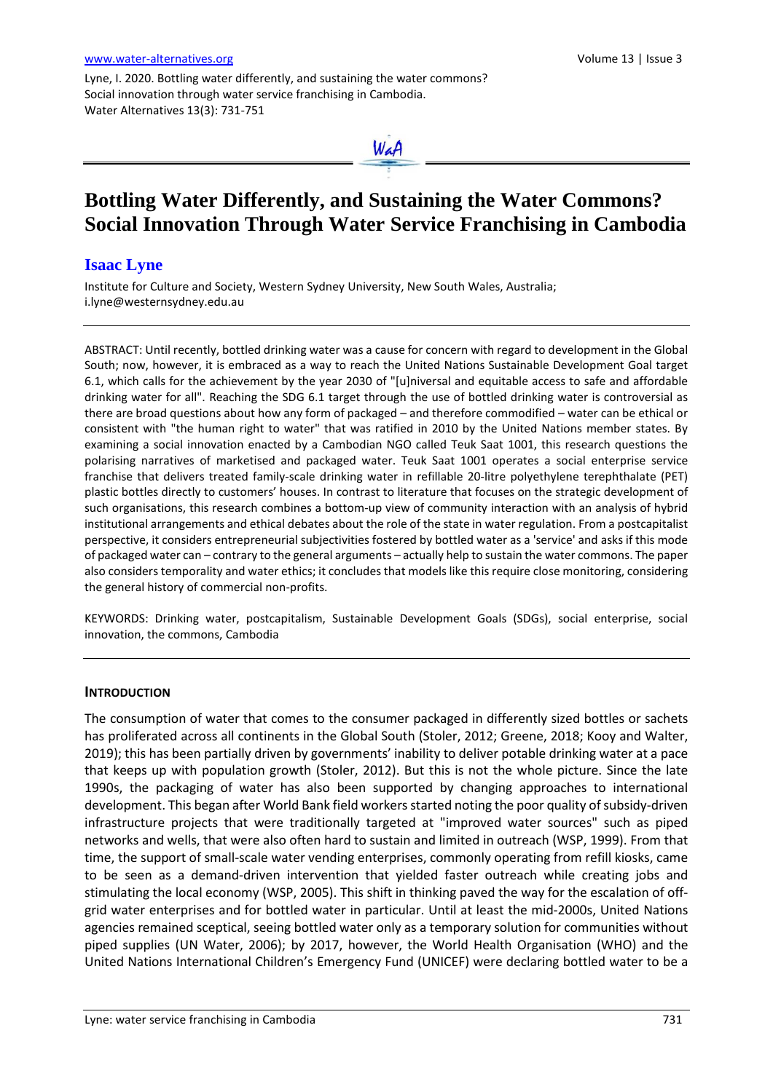Lyne, I. 2020. Bottling water differently, and sustaining the water commons? Social innovation through water service franchising in Cambodia. Water Alternatives 13(3): 731-751



# **Bottling Water Differently, and Sustaining the Water Commons? Social Innovation Through Water Service Franchising in Cambodia**

# **Isaac Lyne**

Institute for Culture and Society, Western Sydney University, New South Wales, Australia; i.lyne@westernsydney.edu.au

ABSTRACT: Until recently, bottled drinking water was a cause for concern with regard to development in the Global South; now, however, it is embraced as a way to reach the United Nations Sustainable Development Goal target 6.1, which calls for the achievement by the year 2030 of "[u]niversal and equitable access to safe and affordable drinking water for all". Reaching the SDG 6.1 target through the use of bottled drinking water is controversial as there are broad questions about how any form of packaged – and therefore commodified – water can be ethical or consistent with "the human right to water" that was ratified in 2010 by the United Nations member states. By examining a social innovation enacted by a Cambodian NGO called Teuk Saat 1001, this research questions the polarising narratives of marketised and packaged water. Teuk Saat 1001 operates a social enterprise service franchise that delivers treated family-scale drinking water in refillable 20-litre polyethylene terephthalate (PET) plastic bottles directly to customers' houses. In contrast to literature that focuses on the strategic development of such organisations, this research combines a bottom-up view of community interaction with an analysis of hybrid institutional arrangements and ethical debates about the role of the state in water regulation. From a postcapitalist perspective, it considers entrepreneurial subjectivities fostered by bottled water as a 'service' and asks if this mode of packaged water can – contrary to the general arguments – actually help to sustain the water commons. The paper also considers temporality and water ethics; it concludes that models like this require close monitoring, considering the general history of commercial non-profits.

KEYWORDS: Drinking water, postcapitalism, Sustainable Development Goals (SDGs), social enterprise, social innovation, the commons, Cambodia

#### **INTRODUCTION**

The consumption of water that comes to the consumer packaged in differently sized bottles or sachets has proliferated across all continents in the Global South (Stoler, 2012; Greene, 2018; Kooy and Walter, 2019); this has been partially driven by governments' inability to deliver potable drinking water at a pace that keeps up with population growth (Stoler, 2012). But this is not the whole picture. Since the late 1990s, the packaging of water has also been supported by changing approaches to international development. This began after World Bank field workers started noting the poor quality of subsidy-driven infrastructure projects that were traditionally targeted at "improved water sources" such as piped networks and wells, that were also often hard to sustain and limited in outreach (WSP, 1999). From that time, the support of small-scale water vending enterprises, commonly operating from refill kiosks, came to be seen as a demand-driven intervention that yielded faster outreach while creating jobs and stimulating the local economy (WSP, 2005). This shift in thinking paved the way for the escalation of offgrid water enterprises and for bottled water in particular. Until at least the mid-2000s, United Nations agencies remained sceptical, seeing bottled water only as a temporary solution for communities without piped supplies (UN Water, 2006); by 2017, however, the World Health Organisation (WHO) and the United Nations International Children's Emergency Fund (UNICEF) were declaring bottled water to be a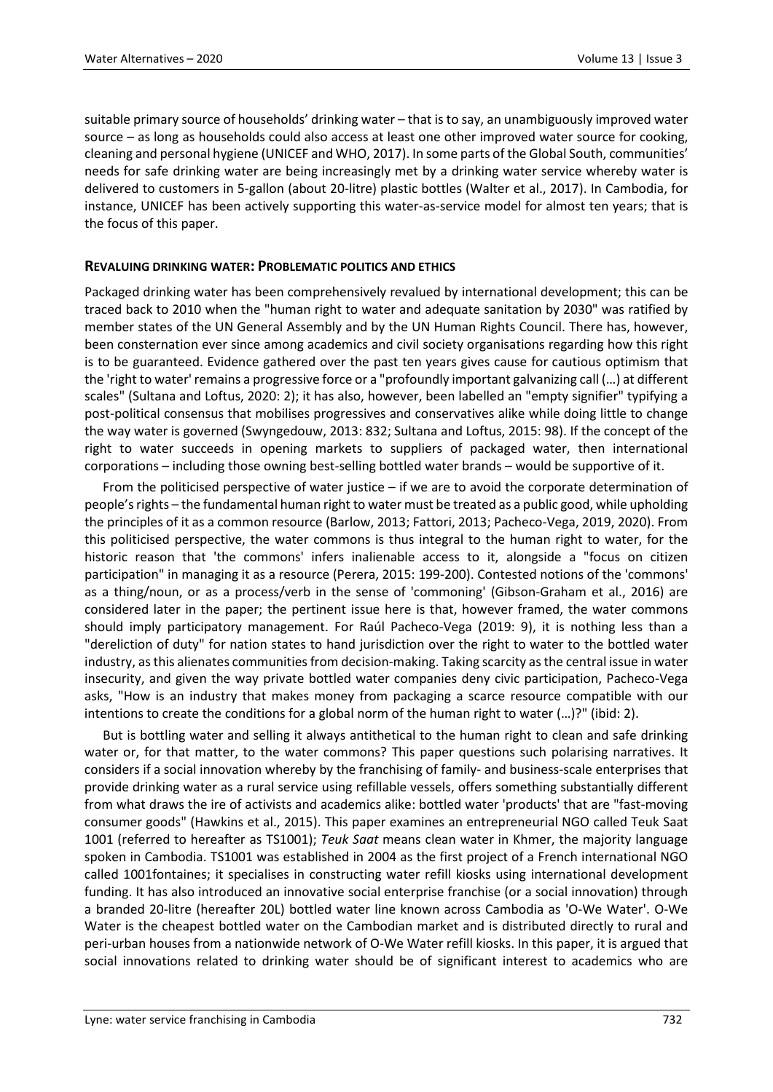suitable primary source of households' drinking water – that is to say, an unambiguously improved water source – as long as households could also access at least one other improved water source for cooking, cleaning and personal hygiene (UNICEF and WHO, 2017). In some parts of the Global South, communities' needs for safe drinking water are being increasingly met by a drinking water service whereby water is delivered to customers in 5-gallon (about 20-litre) plastic bottles (Walter et al., 2017). In Cambodia, for instance, UNICEF has been actively supporting this water-as-service model for almost ten years; that is the focus of this paper.

## **REVALUING DRINKING WATER: PROBLEMATIC POLITICS AND ETHICS**

Packaged drinking water has been comprehensively revalued by international development; this can be traced back to 2010 when the "human right to water and adequate sanitation by 2030" was ratified by member states of the UN General Assembly and by the UN Human Rights Council. There has, however, been consternation ever since among academics and civil society organisations regarding how this right is to be guaranteed. Evidence gathered over the past ten years gives cause for cautious optimism that the 'right to water'remains a progressive force or a "profoundly important galvanizing call (…) at different scales" (Sultana and Loftus, 2020: 2); it has also, however, been labelled an "empty signifier" typifying a post-political consensus that mobilises progressives and conservatives alike while doing little to change the way water is governed (Swyngedouw, 2013: 832; Sultana and Loftus, 2015: 98). If the concept of the right to water succeeds in opening markets to suppliers of packaged water, then international corporations – including those owning best-selling bottled water brands – would be supportive of it.

From the politicised perspective of water justice – if we are to avoid the corporate determination of people's rights – the fundamental human right to water must be treated as a public good, while upholding the principles of it as a common resource (Barlow, 2013; Fattori, 2013; Pacheco-Vega, 2019, 2020). From this politicised perspective, the water commons is thus integral to the human right to water, for the historic reason that 'the commons' infers inalienable access to it, alongside a "focus on citizen participation" in managing it as a resource (Perera, 2015: 199-200). Contested notions of the 'commons' as a thing/noun, or as a process/verb in the sense of 'commoning' (Gibson-Graham et al., 2016) are considered later in the paper; the pertinent issue here is that, however framed, the water commons should imply participatory management. For Raúl Pacheco-Vega (2019: 9), it is nothing less than a "dereliction of duty" for nation states to hand jurisdiction over the right to water to the bottled water industry, as this alienates communities from decision-making. Taking scarcity as the central issue in water insecurity, and given the way private bottled water companies deny civic participation, Pacheco-Vega asks, "How is an industry that makes money from packaging a scarce resource compatible with our intentions to create the conditions for a global norm of the human right to water (…)?" (ibid: 2).

But is bottling water and selling it always antithetical to the human right to clean and safe drinking water or, for that matter, to the water commons? This paper questions such polarising narratives. It considers if a social innovation whereby by the franchising of family- and business-scale enterprises that provide drinking water as a rural service using refillable vessels, offers something substantially different from what draws the ire of activists and academics alike: bottled water 'products' that are "fast-moving consumer goods" (Hawkins et al., 2015). This paper examines an entrepreneurial NGO called Teuk Saat 1001 (referred to hereafter as TS1001); *Teuk Saat* means clean water in Khmer, the majority language spoken in Cambodia. TS1001 was established in 2004 as the first project of a French international NGO called 1001fontaines; it specialises in constructing water refill kiosks using international development funding. It has also introduced an innovative social enterprise franchise (or a social innovation) through a branded 20-litre (hereafter 20L) bottled water line known across Cambodia as 'O-We Water'. O-We Water is the cheapest bottled water on the Cambodian market and is distributed directly to rural and peri-urban houses from a nationwide network of O-We Water refill kiosks. In this paper, it is argued that social innovations related to drinking water should be of significant interest to academics who are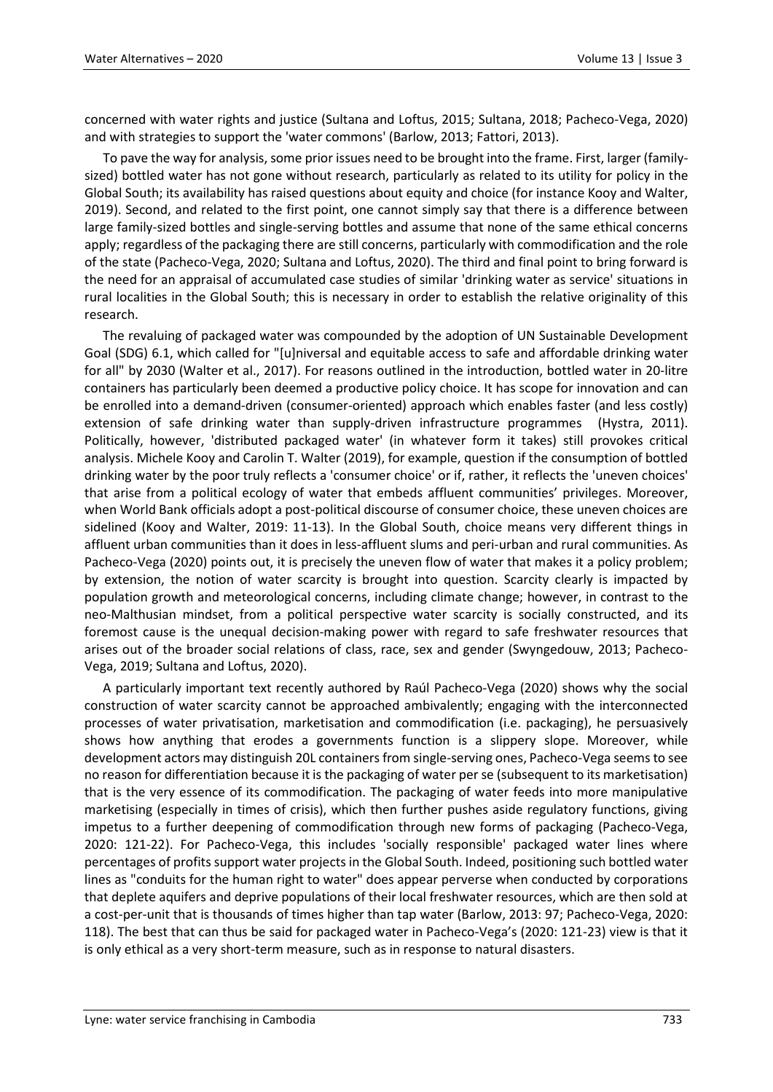concerned with water rights and justice (Sultana and Loftus, 2015; Sultana, 2018; Pacheco-Vega, 2020) and with strategies to support the 'water commons' (Barlow, 2013; Fattori, 2013).

To pave the way for analysis, some prior issues need to be brought into the frame. First, larger (familysized) bottled water has not gone without research, particularly as related to its utility for policy in the Global South; its availability has raised questions about equity and choice (for instance Kooy and Walter, 2019). Second, and related to the first point, one cannot simply say that there is a difference between large family-sized bottles and single-serving bottles and assume that none of the same ethical concerns apply; regardless of the packaging there are still concerns, particularly with commodification and the role of the state (Pacheco-Vega, 2020; Sultana and Loftus, 2020). The third and final point to bring forward is the need for an appraisal of accumulated case studies of similar 'drinking water as service' situations in rural localities in the Global South; this is necessary in order to establish the relative originality of this research.

The revaluing of packaged water was compounded by the adoption of UN Sustainable Development Goal (SDG) 6.1, which called for "[u]niversal and equitable access to safe and affordable drinking water for all" by 2030 (Walter et al., 2017). For reasons outlined in the introduction, bottled water in 20-litre containers has particularly been deemed a productive policy choice. It has scope for innovation and can be enrolled into a demand-driven (consumer-oriented) approach which enables faster (and less costly) extension of safe drinking water than supply-driven infrastructure programmes (Hystra, 2011). Politically, however, 'distributed packaged water' (in whatever form it takes) still provokes critical analysis. Michele Kooy and Carolin T. Walter (2019), for example, question if the consumption of bottled drinking water by the poor truly reflects a 'consumer choice' or if, rather, it reflects the 'uneven choices' that arise from a political ecology of water that embeds affluent communities' privileges. Moreover, when World Bank officials adopt a post-political discourse of consumer choice, these uneven choices are sidelined (Kooy and Walter, 2019: 11-13). In the Global South, choice means very different things in affluent urban communities than it does in less-affluent slums and peri-urban and rural communities. As Pacheco-Vega (2020) points out, it is precisely the uneven flow of water that makes it a policy problem; by extension, the notion of water scarcity is brought into question. Scarcity clearly is impacted by population growth and meteorological concerns, including climate change; however, in contrast to the neo-Malthusian mindset, from a political perspective water scarcity is socially constructed, and its foremost cause is the unequal decision-making power with regard to safe freshwater resources that arises out of the broader social relations of class, race, sex and gender (Swyngedouw, 2013; Pacheco-Vega, 2019; Sultana and Loftus, 2020).

A particularly important text recently authored by Raúl Pacheco-Vega (2020) shows why the social construction of water scarcity cannot be approached ambivalently; engaging with the interconnected processes of water privatisation, marketisation and commodification (i.e. packaging), he persuasively shows how anything that erodes a governments function is a slippery slope. Moreover, while development actors may distinguish 20L containers from single-serving ones, Pacheco-Vega seems to see no reason for differentiation because it is the packaging of water per se (subsequent to its marketisation) that is the very essence of its commodification. The packaging of water feeds into more manipulative marketising (especially in times of crisis), which then further pushes aside regulatory functions, giving impetus to a further deepening of commodification through new forms of packaging (Pacheco-Vega, 2020: 121-22). For Pacheco-Vega, this includes 'socially responsible' packaged water lines where percentages of profits support water projects in the Global South. Indeed, positioning such bottled water lines as "conduits for the human right to water" does appear perverse when conducted by corporations that deplete aquifers and deprive populations of their local freshwater resources, which are then sold at a cost-per-unit that is thousands of times higher than tap water (Barlow, 2013: 97; Pacheco-Vega, 2020: 118). The best that can thus be said for packaged water in Pacheco-Vega's (2020: 121-23) view is that it is only ethical as a very short-term measure, such as in response to natural disasters.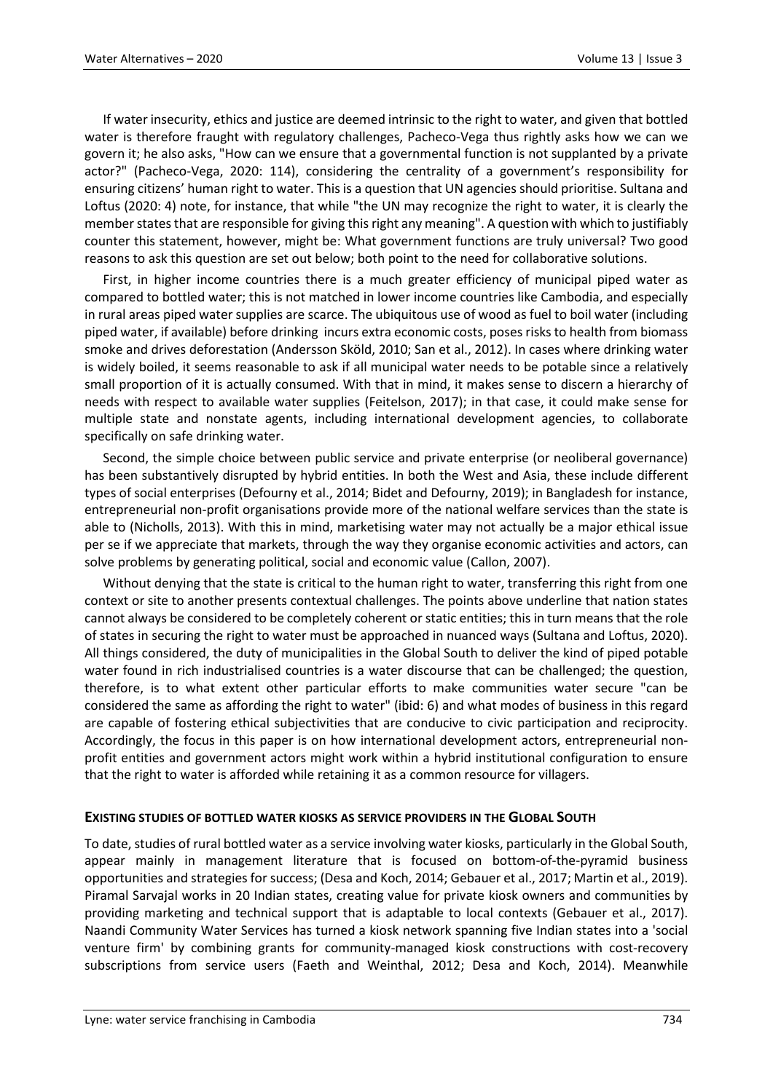If water insecurity, ethics and justice are deemed intrinsic to the right to water, and given that bottled water is therefore fraught with regulatory challenges, Pacheco-Vega thus rightly asks how we can we govern it; he also asks, "How can we ensure that a governmental function is not supplanted by a private actor?" (Pacheco-Vega, 2020: 114), considering the centrality of a government's responsibility for ensuring citizens' human right to water. This is a question that UN agencies should prioritise. Sultana and Loftus (2020: 4) note, for instance, that while "the UN may recognize the right to water, it is clearly the member states that are responsible for giving this right any meaning". A question with which to justifiably counter this statement, however, might be: What government functions are truly universal? Two good reasons to ask this question are set out below; both point to the need for collaborative solutions.

First, in higher income countries there is a much greater efficiency of municipal piped water as compared to bottled water; this is not matched in lower income countries like Cambodia, and especially in rural areas piped water supplies are scarce. The ubiquitous use of wood as fuel to boil water (including piped water, if available) before drinking incurs extra economic costs, poses risks to health from biomass smoke and drives deforestation (Andersson Sköld, 2010; San et al., 2012). In cases where drinking water is widely boiled, it seems reasonable to ask if all municipal water needs to be potable since a relatively small proportion of it is actually consumed. With that in mind, it makes sense to discern a hierarchy of needs with respect to available water supplies (Feitelson, 2017); in that case, it could make sense for multiple state and nonstate agents, including international development agencies, to collaborate specifically on safe drinking water.

Second, the simple choice between public service and private enterprise (or neoliberal governance) has been substantively disrupted by hybrid entities. In both the West and Asia, these include different types of social enterprises (Defourny et al., 2014; Bidet and Defourny, 2019); in Bangladesh for instance, entrepreneurial non-profit organisations provide more of the national welfare services than the state is able to (Nicholls, 2013). With this in mind, marketising water may not actually be a major ethical issue per se if we appreciate that markets, through the way they organise economic activities and actors, can solve problems by generating political, social and economic value (Callon, 2007).

Without denying that the state is critical to the human right to water, transferring this right from one context or site to another presents contextual challenges. The points above underline that nation states cannot always be considered to be completely coherent or static entities; this in turn means that the role of states in securing the right to water must be approached in nuanced ways (Sultana and Loftus, 2020). All things considered, the duty of municipalities in the Global South to deliver the kind of piped potable water found in rich industrialised countries is a water discourse that can be challenged; the question, therefore, is to what extent other particular efforts to make communities water secure "can be considered the same as affording the right to water" (ibid: 6) and what modes of business in this regard are capable of fostering ethical subjectivities that are conducive to civic participation and reciprocity. Accordingly, the focus in this paper is on how international development actors, entrepreneurial nonprofit entities and government actors might work within a hybrid institutional configuration to ensure that the right to water is afforded while retaining it as a common resource for villagers.

### **EXISTING STUDIES OF BOTTLED WATER KIOSKS AS SERVICE PROVIDERS IN THE GLOBAL SOUTH**

To date, studies of rural bottled water as a service involving water kiosks, particularly in the Global South, appear mainly in management literature that is focused on bottom-of-the-pyramid business opportunities and strategies for success; (Desa and Koch, 2014; Gebauer et al., 2017; Martin et al., 2019). Piramal Sarvajal works in 20 Indian states, creating value for private kiosk owners and communities by providing marketing and technical support that is adaptable to local contexts (Gebauer et al., 2017). Naandi Community Water Services has turned a kiosk network spanning five Indian states into a 'social venture firm' by combining grants for community-managed kiosk constructions with cost-recovery subscriptions from service users (Faeth and Weinthal, 2012; Desa and Koch, 2014). Meanwhile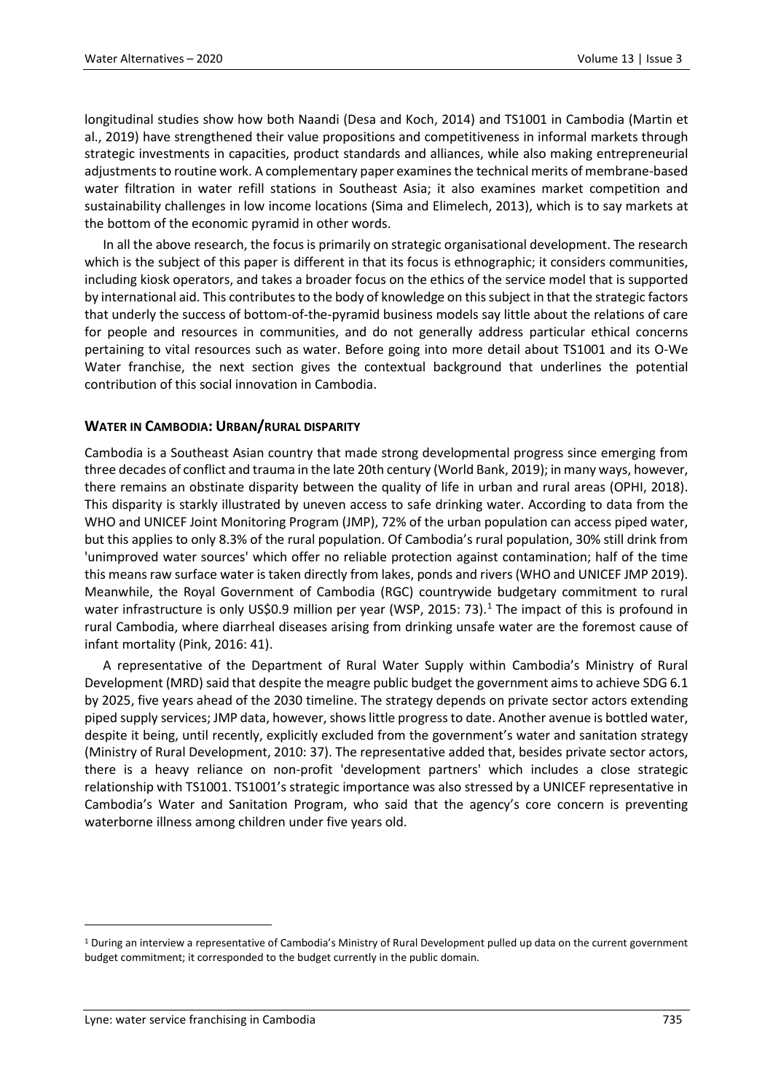longitudinal studies show how both Naandi (Desa and Koch, 2014) and TS1001 in Cambodia (Martin et al., 2019) have strengthened their value propositions and competitiveness in informal markets through strategic investments in capacities, product standards and alliances, while also making entrepreneurial adjustments to routine work. A complementary paper examines the technical merits of membrane-based water filtration in water refill stations in Southeast Asia; it also examines market competition and sustainability challenges in low income locations (Sima and Elimelech, 2013), which is to say markets at the bottom of the economic pyramid in other words.

In all the above research, the focus is primarily on strategic organisational development. The research which is the subject of this paper is different in that its focus is ethnographic; it considers communities, including kiosk operators, and takes a broader focus on the ethics of the service model that is supported by international aid. This contributes to the body of knowledge on this subject in that the strategic factors that underly the success of bottom-of-the-pyramid business models say little about the relations of care for people and resources in communities, and do not generally address particular ethical concerns pertaining to vital resources such as water. Before going into more detail about TS1001 and its O-We Water franchise, the next section gives the contextual background that underlines the potential contribution of this social innovation in Cambodia.

# **WATER IN CAMBODIA: URBAN/RURAL DISPARITY**

Cambodia is a Southeast Asian country that made strong developmental progress since emerging from three decades of conflict and trauma in the late 20th century (World Bank, 2019); in many ways, however, there remains an obstinate disparity between the quality of life in urban and rural areas (OPHI, 2018). This disparity is starkly illustrated by uneven access to safe drinking water. According to data from the WHO and UNICEF Joint Monitoring Program (JMP), 72% of the urban population can access piped water, but this applies to only 8.3% of the rural population. Of Cambodia's rural population, 30% still drink from 'unimproved water sources' which offer no reliable protection against contamination; half of the time this means raw surface water is taken directly from lakes, ponds and rivers (WHO and UNICEF JMP 2019). Meanwhile, the Royal Government of Cambodia (RGC) countrywide budgetary commitment to rural water infrastructure is only US\$0.9 million per year (WSP, 20[1](#page-4-0)5: 73).<sup>1</sup> The impact of this is profound in rural Cambodia, where diarrheal diseases arising from drinking unsafe water are the foremost cause of infant mortality (Pink, 2016: 41).

A representative of the Department of Rural Water Supply within Cambodia's Ministry of Rural Development (MRD) said that despite the meagre public budget the government aims to achieve SDG 6.1 by 2025, five years ahead of the 2030 timeline. The strategy depends on private sector actors extending piped supply services; JMP data, however, shows little progress to date. Another avenue is bottled water, despite it being, until recently, explicitly excluded from the government's water and sanitation strategy (Ministry of Rural Development, 2010: 37). The representative added that, besides private sector actors, there is a heavy reliance on non-profit 'development partners' which includes a close strategic relationship with TS1001. TS1001's strategic importance was also stressed by a UNICEF representative in Cambodia's Water and Sanitation Program, who said that the agency's core concern is preventing waterborne illness among children under five years old.

 $\overline{a}$ 

<span id="page-4-0"></span><sup>1</sup> During an interview a representative of Cambodia's Ministry of Rural Development pulled up data on the current government budget commitment; it corresponded to the budget currently in the public domain.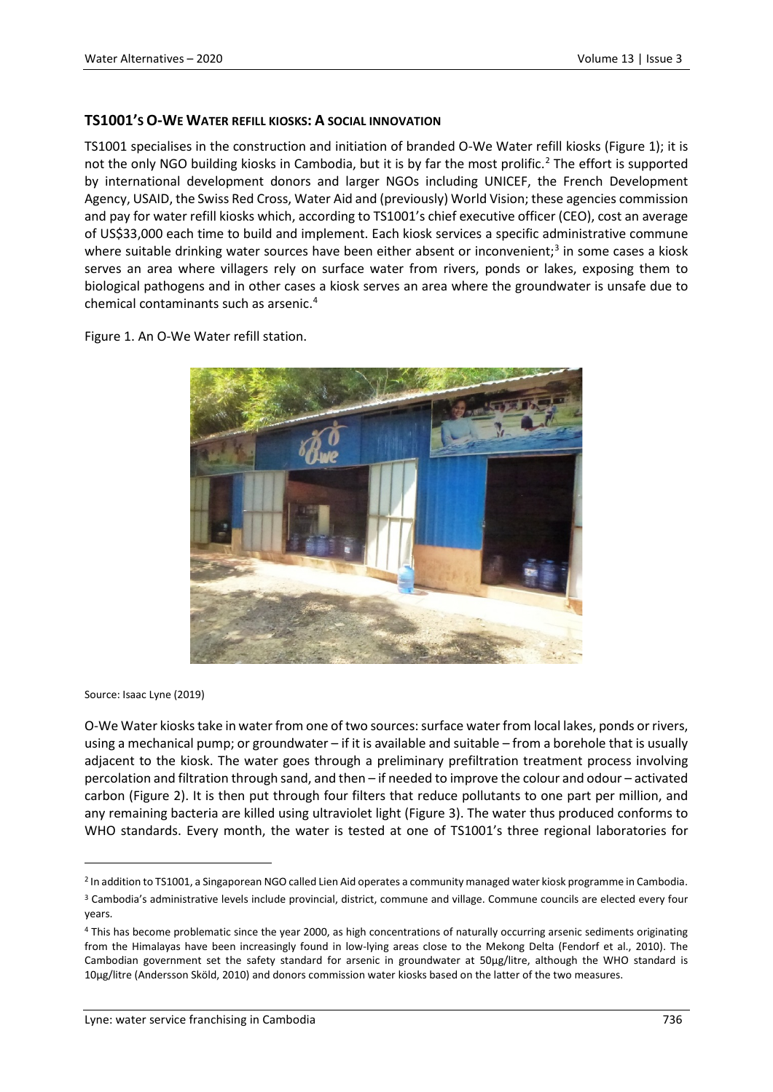# **TS1001'S O-WE WATER REFILL KIOSKS: A SOCIAL INNOVATION**

TS1001 specialises in the construction and initiation of branded O-We Water refill kiosks (Figure 1); it is not the only NGO building kiosks in Cambodia, but it is by far the most prolific.<sup>[2](#page-5-0)</sup> The effort is supported by international development donors and larger NGOs including UNICEF, the French Development Agency, USAID, the Swiss Red Cross, Water Aid and (previously) World Vision; these agencies commission and pay for water refill kiosks which, according to TS1001's chief executive officer (CEO), cost an average of US\$33,000 each time to build and implement. Each kiosk services a specific administrative commune where suitable drinking water sources have been either absent or inconvenient;<sup>[3](#page-5-1)</sup> in some cases a kiosk serves an area where villagers rely on surface water from rivers, ponds or lakes, exposing them to biological pathogens and in other cases a kiosk serves an area where the groundwater is unsafe due to chemical contaminants such as arsenic.[4](#page-5-2)

Figure 1. An O-We Water refill station.



Source: Isaac Lyne (2019)

 $\overline{a}$ 

O-We Water kiosks take in water from one of two sources: surface water from local lakes, ponds or rivers, using a mechanical pump; or groundwater – if it is available and suitable – from a borehole that is usually adjacent to the kiosk. The water goes through a preliminary prefiltration treatment process involving percolation and filtration through sand, and then – if needed to improve the colour and odour – activated carbon (Figure 2). It is then put through four filters that reduce pollutants to one part per million, and any remaining bacteria are killed using ultraviolet light (Figure 3). The water thus produced conforms to WHO standards. Every month, the water is tested at one of TS1001's three regional laboratories for

<span id="page-5-0"></span><sup>2</sup> In addition to TS1001, a Singaporean NGO called Lien Aid operates a community managed water kiosk programme in Cambodia.

<span id="page-5-1"></span><sup>3</sup> Cambodia's administrative levels include provincial, district, commune and village. Commune councils are elected every four years.

<span id="page-5-2"></span><sup>4</sup> This has become problematic since the year 2000, as high concentrations of naturally occurring arsenic sediments originating from the Himalayas have been increasingly found in low-lying areas close to the Mekong Delta (Fendorf et al., 2010). The Cambodian government set the safety standard for arsenic in groundwater at 50μg/litre, although the WHO standard is 10μg/litre (Andersson Sköld, 2010) and donors commission water kiosks based on the latter of the two measures.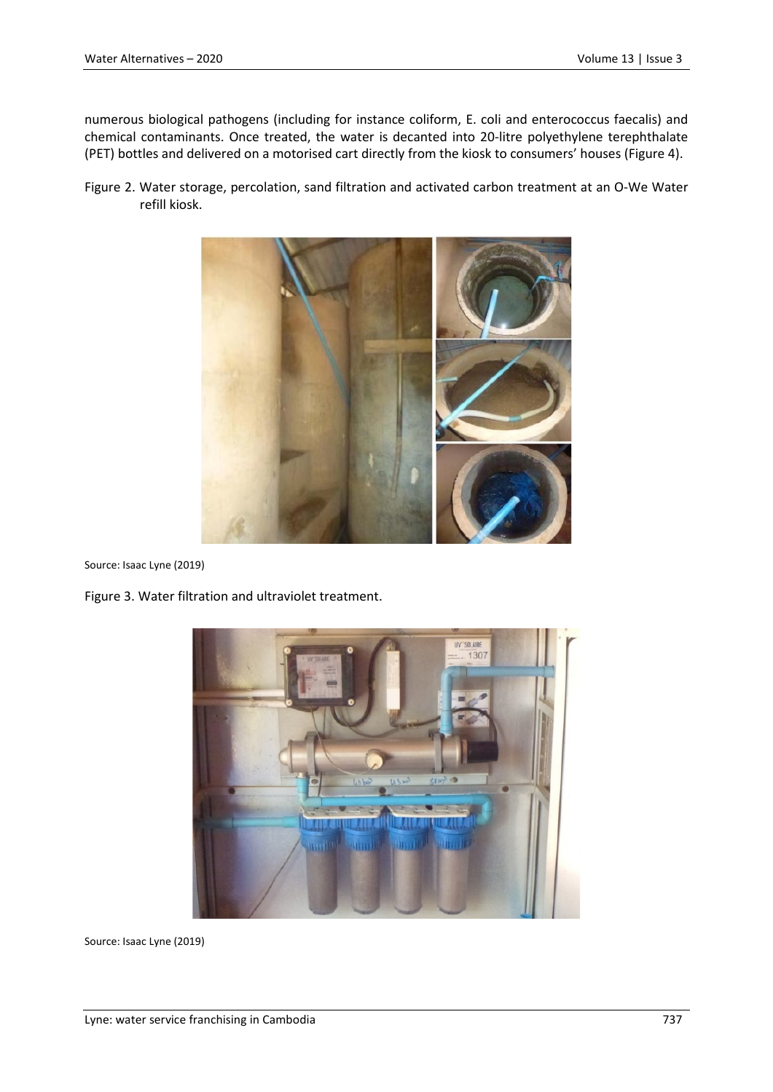numerous biological pathogens (including for instance coliform, E. coli and enterococcus faecalis) and chemical contaminants. Once treated, the water is decanted into 20-litre polyethylene terephthalate (PET) bottles and delivered on a motorised cart directly from the kiosk to consumers' houses (Figure 4).

Figure 2. Water storage, percolation, sand filtration and activated carbon treatment at an O-We Water refill kiosk.



Source: Isaac Lyne (2019)

Figure 3. Water filtration and ultraviolet treatment.



Source: Isaac Lyne (2019)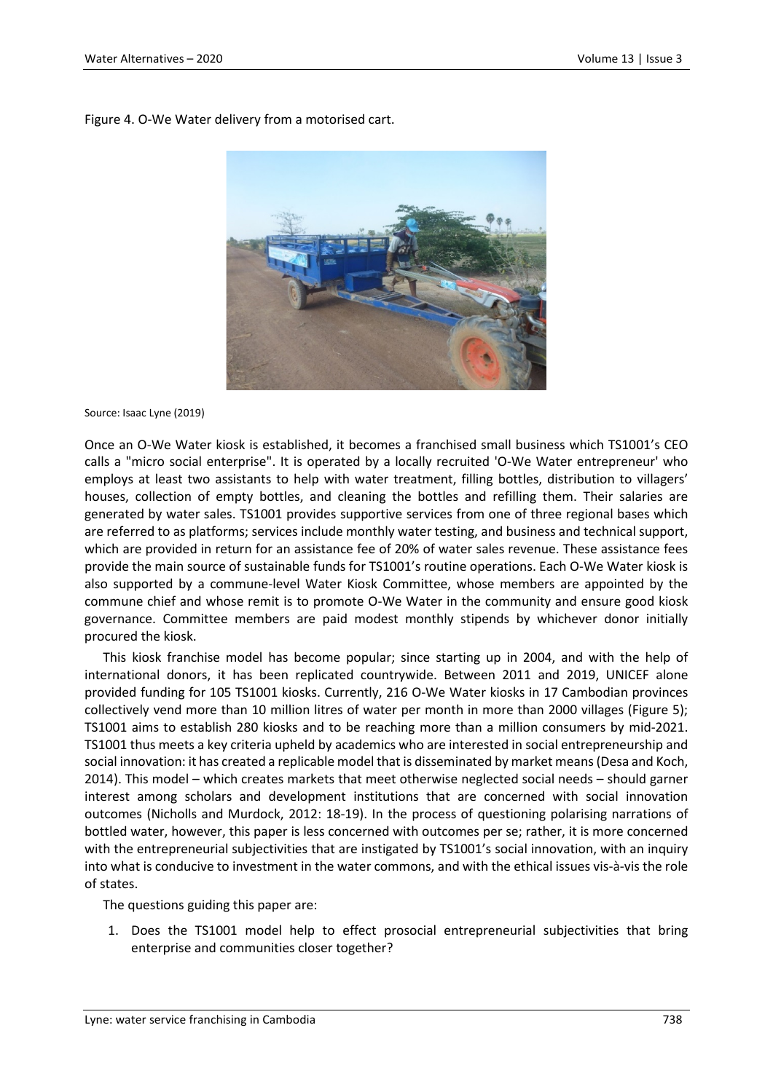Figure 4. O-We Water delivery from a motorised cart.



Source: Isaac Lyne (2019)

Once an O-We Water kiosk is established, it becomes a franchised small business which TS1001's CEO calls a "micro social enterprise". It is operated by a locally recruited 'O-We Water entrepreneur' who employs at least two assistants to help with water treatment, filling bottles, distribution to villagers' houses, collection of empty bottles, and cleaning the bottles and refilling them. Their salaries are generated by water sales. TS1001 provides supportive services from one of three regional bases which are referred to as platforms; services include monthly water testing, and business and technical support, which are provided in return for an assistance fee of 20% of water sales revenue. These assistance fees provide the main source of sustainable funds for TS1001's routine operations. Each O-We Water kiosk is also supported by a commune-level Water Kiosk Committee, whose members are appointed by the commune chief and whose remit is to promote O-We Water in the community and ensure good kiosk governance. Committee members are paid modest monthly stipends by whichever donor initially procured the kiosk.

This kiosk franchise model has become popular; since starting up in 2004, and with the help of international donors, it has been replicated countrywide. Between 2011 and 2019, UNICEF alone provided funding for 105 TS1001 kiosks. Currently, 216 O-We Water kiosks in 17 Cambodian provinces collectively vend more than 10 million litres of water per month in more than 2000 villages (Figure 5); TS1001 aims to establish 280 kiosks and to be reaching more than a million consumers by mid-2021. TS1001 thus meets a key criteria upheld by academics who are interested in social entrepreneurship and social innovation: it has created a replicable model that is disseminated by market means (Desa and Koch, 2014). This model – which creates markets that meet otherwise neglected social needs – should garner interest among scholars and development institutions that are concerned with social innovation outcomes (Nicholls and Murdock, 2012: 18-19). In the process of questioning polarising narrations of bottled water, however, this paper is less concerned with outcomes per se; rather, it is more concerned with the entrepreneurial subjectivities that are instigated by TS1001's social innovation, with an inquiry into what is conducive to investment in the water commons, and with the ethical issues vis-à-vis the role of states.

The questions guiding this paper are:

1. Does the TS1001 model help to effect prosocial entrepreneurial subjectivities that bring enterprise and communities closer together?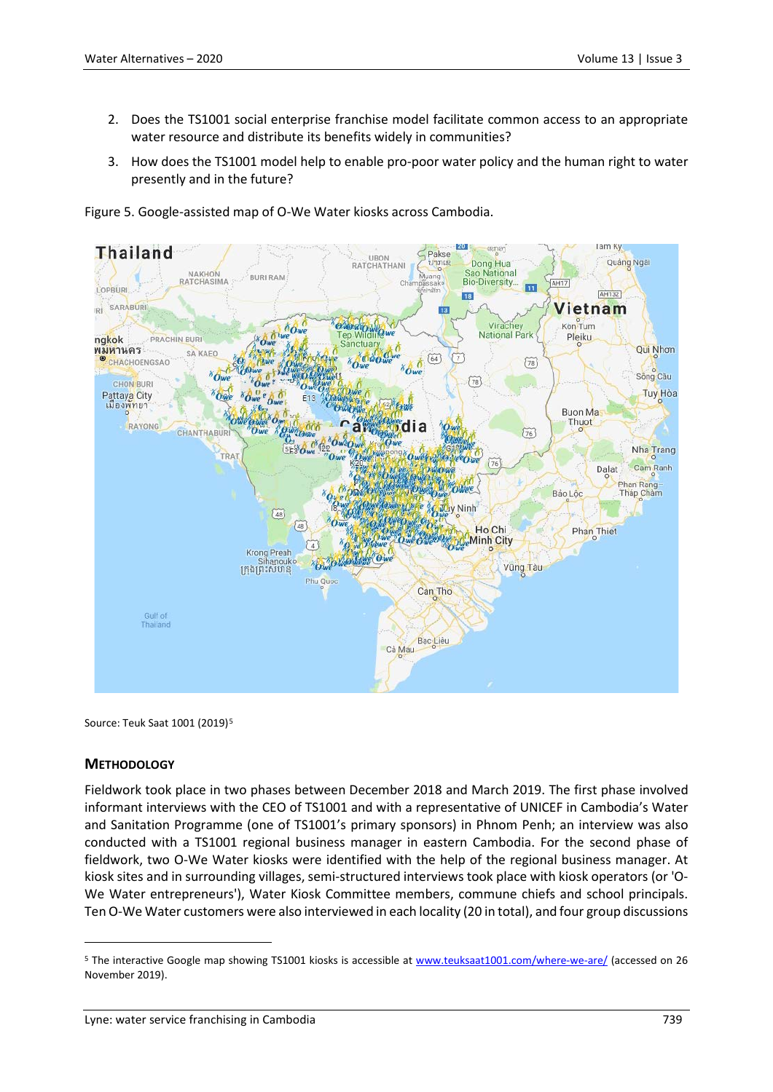- 2. Does the TS1001 social enterprise franchise model facilitate common access to an appropriate water resource and distribute its benefits widely in communities?
- 3. How does the TS1001 model help to enable pro-poor water policy and the human right to water presently and in the future?

Figure 5. Google-assisted map of O-We Water kiosks across Cambodia.



Source: Teuk Saat 1001 (2019)<sup>[5](#page-8-0)</sup>

#### **METHODOLOGY**

 $\overline{a}$ 

Fieldwork took place in two phases between December 2018 and March 2019. The first phase involved informant interviews with the CEO of TS1001 and with a representative of UNICEF in Cambodia's Water and Sanitation Programme (one of TS1001's primary sponsors) in Phnom Penh; an interview was also conducted with a TS1001 regional business manager in eastern Cambodia. For the second phase of fieldwork, two O-We Water kiosks were identified with the help of the regional business manager. At kiosk sites and in surrounding villages, semi-structured interviews took place with kiosk operators (or 'O-We Water entrepreneurs'), Water Kiosk Committee members, commune chiefs and school principals. Ten O-We Water customers were also interviewed in each locality (20 in total), and four group discussions

<span id="page-8-0"></span><sup>5</sup> The interactive Google map showing TS1001 kiosks is accessible at [www.teuksaat1001.com/where-we-are/](http://www.teuksaat1001.com/where-we-are/) (accessed on 26 November 2019).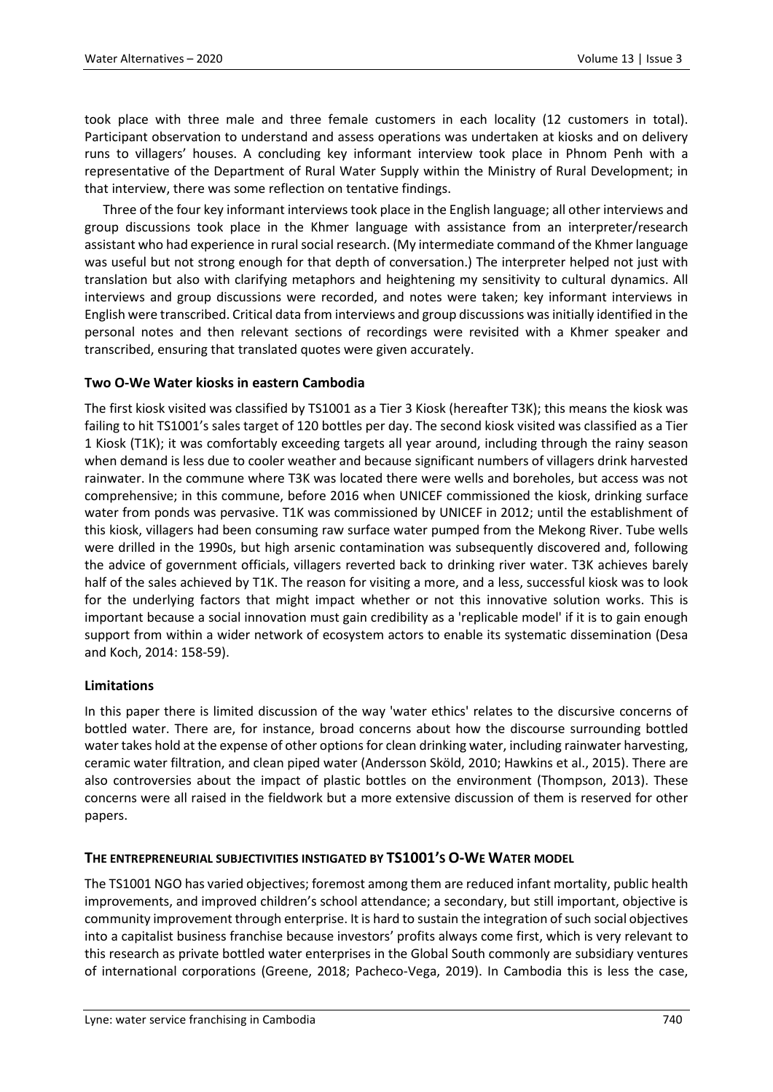took place with three male and three female customers in each locality (12 customers in total). Participant observation to understand and assess operations was undertaken at kiosks and on delivery runs to villagers' houses. A concluding key informant interview took place in Phnom Penh with a representative of the Department of Rural Water Supply within the Ministry of Rural Development; in that interview, there was some reflection on tentative findings.

Three of the four key informant interviews took place in the English language; all other interviews and group discussions took place in the Khmer language with assistance from an interpreter/research assistant who had experience in rural social research. (My intermediate command of the Khmer language was useful but not strong enough for that depth of conversation.) The interpreter helped not just with translation but also with clarifying metaphors and heightening my sensitivity to cultural dynamics. All interviews and group discussions were recorded, and notes were taken; key informant interviews in English were transcribed. Critical data from interviews and group discussions was initially identified in the personal notes and then relevant sections of recordings were revisited with a Khmer speaker and transcribed, ensuring that translated quotes were given accurately.

# **Two O-We Water kiosks in eastern Cambodia**

The first kiosk visited was classified by TS1001 as a Tier 3 Kiosk (hereafter T3K); this means the kiosk was failing to hit TS1001's sales target of 120 bottles per day. The second kiosk visited was classified as a Tier 1 Kiosk (T1K); it was comfortably exceeding targets all year around, including through the rainy season when demand is less due to cooler weather and because significant numbers of villagers drink harvested rainwater. In the commune where T3K was located there were wells and boreholes, but access was not comprehensive; in this commune, before 2016 when UNICEF commissioned the kiosk, drinking surface water from ponds was pervasive. T1K was commissioned by UNICEF in 2012; until the establishment of this kiosk, villagers had been consuming raw surface water pumped from the Mekong River. Tube wells were drilled in the 1990s, but high arsenic contamination was subsequently discovered and, following the advice of government officials, villagers reverted back to drinking river water. T3K achieves barely half of the sales achieved by T1K. The reason for visiting a more, and a less, successful kiosk was to look for the underlying factors that might impact whether or not this innovative solution works. This is important because a social innovation must gain credibility as a 'replicable model' if it is to gain enough support from within a wider network of ecosystem actors to enable its systematic dissemination (Desa and Koch, 2014: 158-59).

### **Limitations**

In this paper there is limited discussion of the way 'water ethics' relates to the discursive concerns of bottled water. There are, for instance, broad concerns about how the discourse surrounding bottled water takes hold at the expense of other options for clean drinking water, including rainwater harvesting, ceramic water filtration, and clean piped water (Andersson Sköld, 2010; Hawkins et al., 2015). There are also controversies about the impact of plastic bottles on the environment (Thompson, 2013). These concerns were all raised in the fieldwork but a more extensive discussion of them is reserved for other papers.

# **THE ENTREPRENEURIAL SUBJECTIVITIES INSTIGATED BY TS1001'S O-WE WATER MODEL**

The TS1001 NGO has varied objectives; foremost among them are reduced infant mortality, public health improvements, and improved children's school attendance; a secondary, but still important, objective is community improvement through enterprise. It is hard to sustain the integration of such social objectives into a capitalist business franchise because investors' profits always come first, which is very relevant to this research as private bottled water enterprises in the Global South commonly are subsidiary ventures of international corporations (Greene, 2018; Pacheco-Vega, 2019). In Cambodia this is less the case,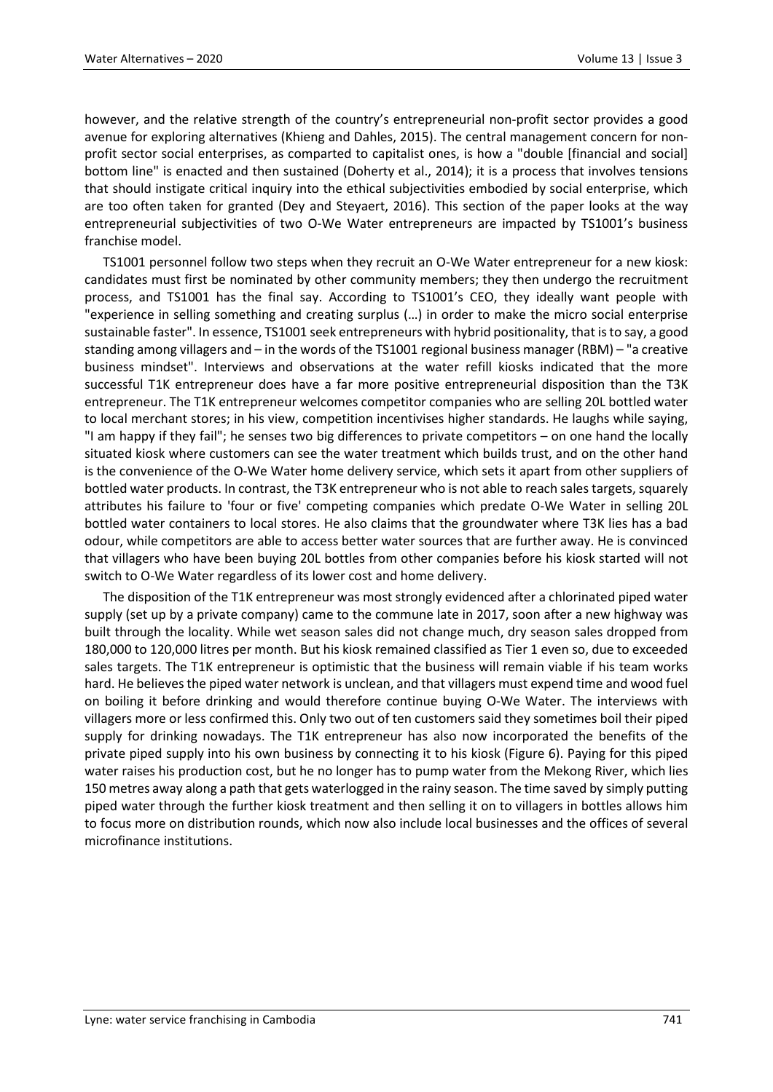however, and the relative strength of the country's entrepreneurial non-profit sector provides a good avenue for exploring alternatives (Khieng and Dahles, 2015). The central management concern for nonprofit sector social enterprises, as comparted to capitalist ones, is how a "double [financial and social] bottom line" is enacted and then sustained (Doherty et al., 2014); it is a process that involves tensions that should instigate critical inquiry into the ethical subjectivities embodied by social enterprise, which are too often taken for granted (Dey and Steyaert, 2016). This section of the paper looks at the way entrepreneurial subjectivities of two O-We Water entrepreneurs are impacted by TS1001's business franchise model.

TS1001 personnel follow two steps when they recruit an O-We Water entrepreneur for a new kiosk: candidates must first be nominated by other community members; they then undergo the recruitment process, and TS1001 has the final say. According to TS1001's CEO, they ideally want people with "experience in selling something and creating surplus (…) in order to make the micro social enterprise sustainable faster". In essence, TS1001 seek entrepreneurs with hybrid positionality, that is to say, a good standing among villagers and – in the words of the TS1001 regional business manager (RBM) – "a creative business mindset". Interviews and observations at the water refill kiosks indicated that the more successful T1K entrepreneur does have a far more positive entrepreneurial disposition than the T3K entrepreneur. The T1K entrepreneur welcomes competitor companies who are selling 20L bottled water to local merchant stores; in his view, competition incentivises higher standards. He laughs while saying, "I am happy if they fail"; he senses two big differences to private competitors – on one hand the locally situated kiosk where customers can see the water treatment which builds trust, and on the other hand is the convenience of the O-We Water home delivery service, which sets it apart from other suppliers of bottled water products. In contrast, the T3K entrepreneur who is not able to reach sales targets, squarely attributes his failure to 'four or five' competing companies which predate O-We Water in selling 20L bottled water containers to local stores. He also claims that the groundwater where T3K lies has a bad odour, while competitors are able to access better water sources that are further away. He is convinced that villagers who have been buying 20L bottles from other companies before his kiosk started will not switch to O-We Water regardless of its lower cost and home delivery.

The disposition of the T1K entrepreneur was most strongly evidenced after a chlorinated piped water supply (set up by a private company) came to the commune late in 2017, soon after a new highway was built through the locality. While wet season sales did not change much, dry season sales dropped from 180,000 to 120,000 litres per month. But his kiosk remained classified as Tier 1 even so, due to exceeded sales targets. The T1K entrepreneur is optimistic that the business will remain viable if his team works hard. He believes the piped water network is unclean, and that villagers must expend time and wood fuel on boiling it before drinking and would therefore continue buying O-We Water. The interviews with villagers more or less confirmed this. Only two out of ten customers said they sometimes boil their piped supply for drinking nowadays. The T1K entrepreneur has also now incorporated the benefits of the private piped supply into his own business by connecting it to his kiosk (Figure 6). Paying for this piped water raises his production cost, but he no longer has to pump water from the Mekong River, which lies 150 metres away along a path that gets waterlogged in the rainy season. The time saved by simply putting piped water through the further kiosk treatment and then selling it on to villagers in bottles allows him to focus more on distribution rounds, which now also include local businesses and the offices of several microfinance institutions.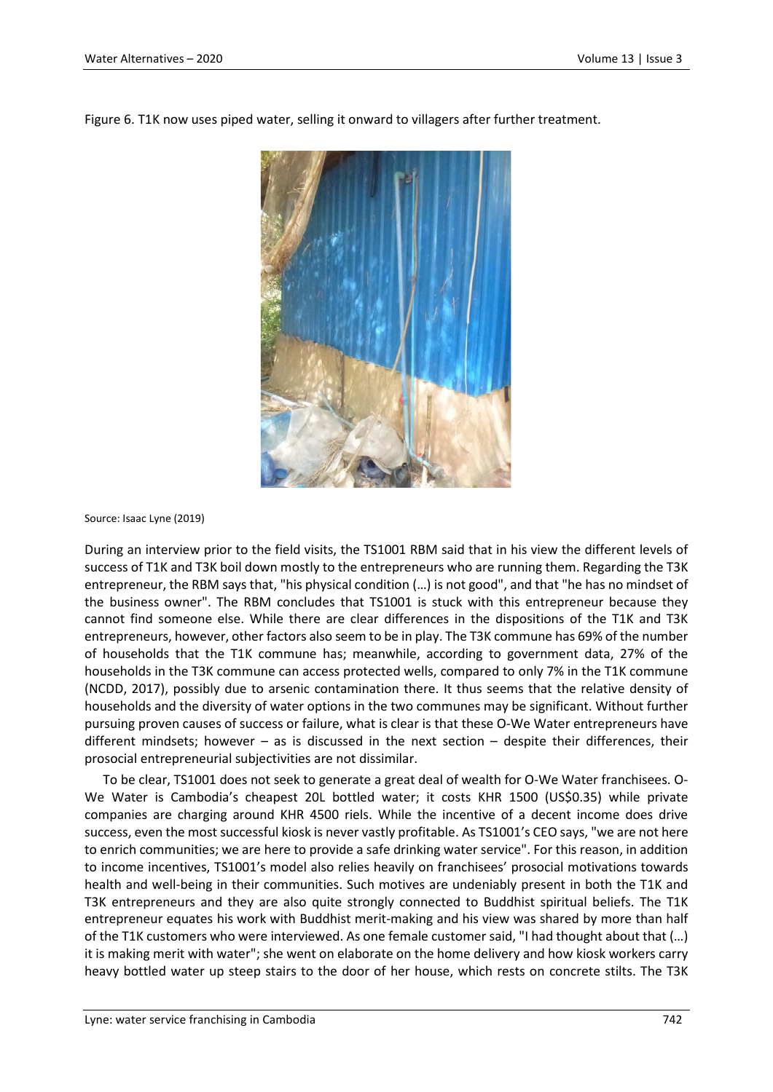

Figure 6. T1K now uses piped water, selling it onward to villagers after further treatment.

Source: Isaac Lyne (2019)

During an interview prior to the field visits, the TS1001 RBM said that in his view the different levels of success of T1K and T3K boil down mostly to the entrepreneurs who are running them. Regarding the T3K entrepreneur, the RBM says that, "his physical condition (…) is not good", and that "he has no mindset of the business owner". The RBM concludes that TS1001 is stuck with this entrepreneur because they cannot find someone else. While there are clear differences in the dispositions of the T1K and T3K entrepreneurs, however, other factors also seem to be in play. The T3K commune has 69% of the number of households that the T1K commune has; meanwhile, according to government data, 27% of the households in the T3K commune can access protected wells, compared to only 7% in the T1K commune (NCDD, 2017), possibly due to arsenic contamination there. It thus seems that the relative density of households and the diversity of water options in the two communes may be significant. Without further pursuing proven causes of success or failure, what is clear is that these O-We Water entrepreneurs have different mindsets; however – as is discussed in the next section – despite their differences, their prosocial entrepreneurial subjectivities are not dissimilar.

To be clear, TS1001 does not seek to generate a great deal of wealth for O-We Water franchisees. O-We Water is Cambodia's cheapest 20L bottled water; it costs KHR 1500 (US\$0.35) while private companies are charging around KHR 4500 riels. While the incentive of a decent income does drive success, even the most successful kiosk is never vastly profitable. As TS1001's CEO says, "we are not here to enrich communities; we are here to provide a safe drinking water service". For this reason, in addition to income incentives, TS1001's model also relies heavily on franchisees' prosocial motivations towards health and well-being in their communities. Such motives are undeniably present in both the T1K and T3K entrepreneurs and they are also quite strongly connected to Buddhist spiritual beliefs. The T1K entrepreneur equates his work with Buddhist merit-making and his view was shared by more than half of the T1K customers who were interviewed. As one female customer said, "I had thought about that (…) it is making merit with water"; she went on elaborate on the home delivery and how kiosk workers carry heavy bottled water up steep stairs to the door of her house, which rests on concrete stilts. The T3K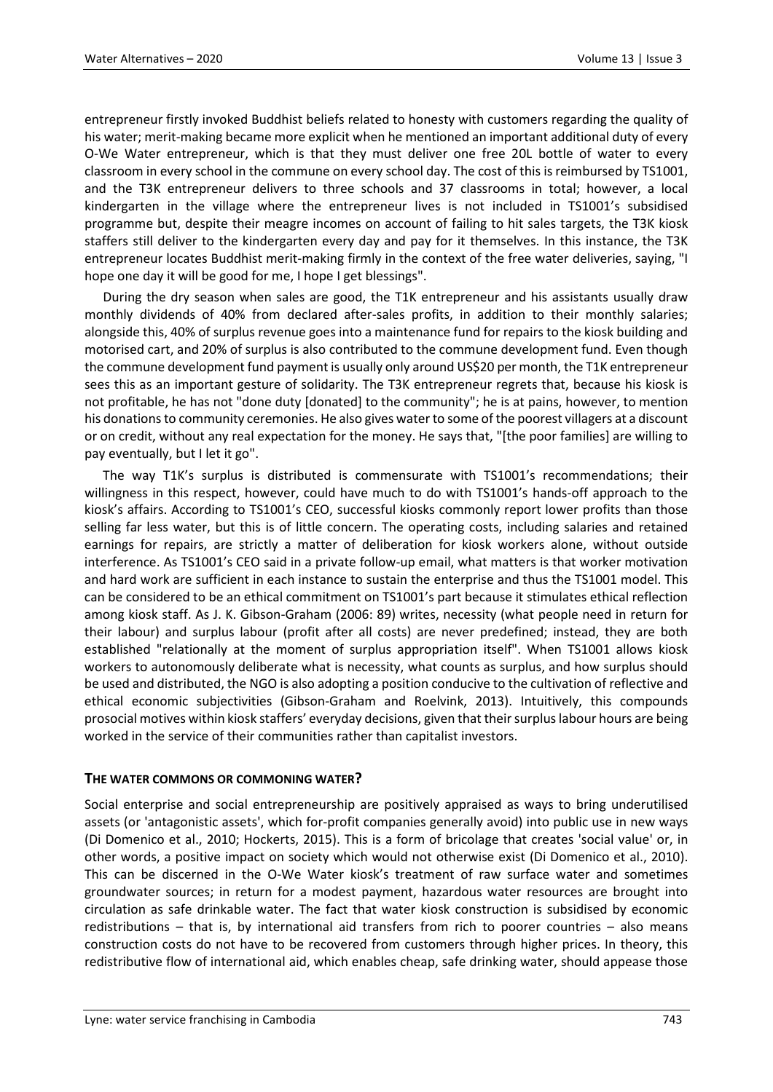entrepreneur firstly invoked Buddhist beliefs related to honesty with customers regarding the quality of his water; merit-making became more explicit when he mentioned an important additional duty of every O-We Water entrepreneur, which is that they must deliver one free 20L bottle of water to every classroom in every school in the commune on every school day. The cost of this is reimbursed by TS1001, and the T3K entrepreneur delivers to three schools and 37 classrooms in total; however, a local kindergarten in the village where the entrepreneur lives is not included in TS1001's subsidised programme but, despite their meagre incomes on account of failing to hit sales targets, the T3K kiosk staffers still deliver to the kindergarten every day and pay for it themselves. In this instance, the T3K entrepreneur locates Buddhist merit-making firmly in the context of the free water deliveries, saying, "I hope one day it will be good for me, I hope I get blessings".

During the dry season when sales are good, the T1K entrepreneur and his assistants usually draw monthly dividends of 40% from declared after-sales profits, in addition to their monthly salaries; alongside this, 40% of surplus revenue goes into a maintenance fund for repairs to the kiosk building and motorised cart, and 20% of surplus is also contributed to the commune development fund. Even though the commune development fund payment is usually only around US\$20 per month, the T1K entrepreneur sees this as an important gesture of solidarity. The T3K entrepreneur regrets that, because his kiosk is not profitable, he has not "done duty [donated] to the community"; he is at pains, however, to mention his donations to community ceremonies. He also gives water to some of the poorest villagers at a discount or on credit, without any real expectation for the money. He says that, "[the poor families] are willing to pay eventually, but I let it go".

The way T1K's surplus is distributed is commensurate with TS1001's recommendations; their willingness in this respect, however, could have much to do with TS1001's hands-off approach to the kiosk's affairs. According to TS1001's CEO, successful kiosks commonly report lower profits than those selling far less water, but this is of little concern. The operating costs, including salaries and retained earnings for repairs, are strictly a matter of deliberation for kiosk workers alone, without outside interference. As TS1001's CEO said in a private follow-up email, what matters is that worker motivation and hard work are sufficient in each instance to sustain the enterprise and thus the TS1001 model. This can be considered to be an ethical commitment on TS1001's part because it stimulates ethical reflection among kiosk staff. As J. K. Gibson-Graham (2006: 89) writes, necessity (what people need in return for their labour) and surplus labour (profit after all costs) are never predefined; instead, they are both established "relationally at the moment of surplus appropriation itself". When TS1001 allows kiosk workers to autonomously deliberate what is necessity, what counts as surplus, and how surplus should be used and distributed, the NGO is also adopting a position conducive to the cultivation of reflective and ethical economic subjectivities (Gibson-Graham and Roelvink, 2013). Intuitively, this compounds prosocial motives within kiosk staffers' everyday decisions, given that their surplus labour hours are being worked in the service of their communities rather than capitalist investors.

### **THE WATER COMMONS OR COMMONING WATER?**

Social enterprise and social entrepreneurship are positively appraised as ways to bring underutilised assets (or 'antagonistic assets', which for-profit companies generally avoid) into public use in new ways (Di Domenico et al., 2010; Hockerts, 2015). This is a form of bricolage that creates 'social value' or, in other words, a positive impact on society which would not otherwise exist (Di Domenico et al., 2010). This can be discerned in the O-We Water kiosk's treatment of raw surface water and sometimes groundwater sources; in return for a modest payment, hazardous water resources are brought into circulation as safe drinkable water. The fact that water kiosk construction is subsidised by economic redistributions – that is, by international aid transfers from rich to poorer countries – also means construction costs do not have to be recovered from customers through higher prices. In theory, this redistributive flow of international aid, which enables cheap, safe drinking water, should appease those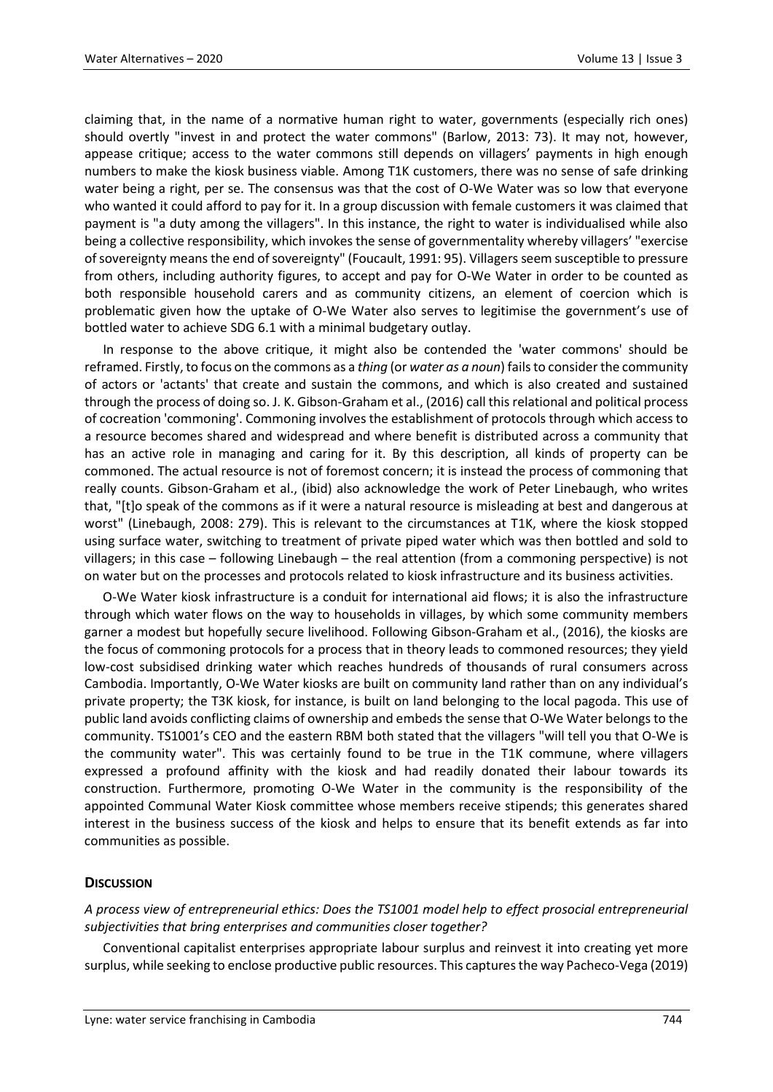claiming that, in the name of a normative human right to water, governments (especially rich ones) should overtly "invest in and protect the water commons" (Barlow, 2013: 73). It may not, however, appease critique; access to the water commons still depends on villagers' payments in high enough numbers to make the kiosk business viable. Among T1K customers, there was no sense of safe drinking water being a right, per se. The consensus was that the cost of O-We Water was so low that everyone who wanted it could afford to pay for it. In a group discussion with female customers it was claimed that payment is "a duty among the villagers". In this instance, the right to water is individualised while also being a collective responsibility, which invokes the sense of governmentality whereby villagers' "exercise of sovereignty means the end of sovereignty" (Foucault, 1991: 95). Villagers seem susceptible to pressure from others, including authority figures, to accept and pay for O-We Water in order to be counted as both responsible household carers and as community citizens, an element of coercion which is problematic given how the uptake of O-We Water also serves to legitimise the government's use of bottled water to achieve SDG 6.1 with a minimal budgetary outlay.

In response to the above critique, it might also be contended the 'water commons' should be reframed. Firstly, to focus on the commons as a *thing* (or *water as a noun*) fails to consider the community of actors or 'actants' that create and sustain the commons, and which is also created and sustained through the process of doing so. J. K. Gibson-Graham et al., (2016) call this relational and political process of cocreation 'commoning'. Commoning involves the establishment of protocols through which access to a resource becomes shared and widespread and where benefit is distributed across a community that has an active role in managing and caring for it. By this description, all kinds of property can be commoned. The actual resource is not of foremost concern; it is instead the process of commoning that really counts. Gibson-Graham et al., (ibid) also acknowledge the work of Peter Linebaugh, who writes that, "[t]o speak of the commons as if it were a natural resource is misleading at best and dangerous at worst" (Linebaugh, 2008: 279). This is relevant to the circumstances at T1K, where the kiosk stopped using surface water, switching to treatment of private piped water which was then bottled and sold to villagers; in this case – following Linebaugh – the real attention (from a commoning perspective) is not on water but on the processes and protocols related to kiosk infrastructure and its business activities.

O-We Water kiosk infrastructure is a conduit for international aid flows; it is also the infrastructure through which water flows on the way to households in villages, by which some community members garner a modest but hopefully secure livelihood. Following Gibson-Graham et al., (2016), the kiosks are the focus of commoning protocols for a process that in theory leads to commoned resources; they yield low-cost subsidised drinking water which reaches hundreds of thousands of rural consumers across Cambodia. Importantly, O-We Water kiosks are built on community land rather than on any individual's private property; the T3K kiosk, for instance, is built on land belonging to the local pagoda. This use of public land avoids conflicting claims of ownership and embeds the sense that O-We Water belongs to the community. TS1001's CEO and the eastern RBM both stated that the villagers "will tell you that O-We is the community water". This was certainly found to be true in the T1K commune, where villagers expressed a profound affinity with the kiosk and had readily donated their labour towards its construction. Furthermore, promoting O-We Water in the community is the responsibility of the appointed Communal Water Kiosk committee whose members receive stipends; this generates shared interest in the business success of the kiosk and helps to ensure that its benefit extends as far into communities as possible.

### **DISCUSSION**

*A process view of entrepreneurial ethics: Does the TS1001 model help to effect prosocial entrepreneurial subjectivities that bring enterprises and communities closer together?*

Conventional capitalist enterprises appropriate labour surplus and reinvest it into creating yet more surplus, while seeking to enclose productive public resources. This captures the way Pacheco-Vega (2019)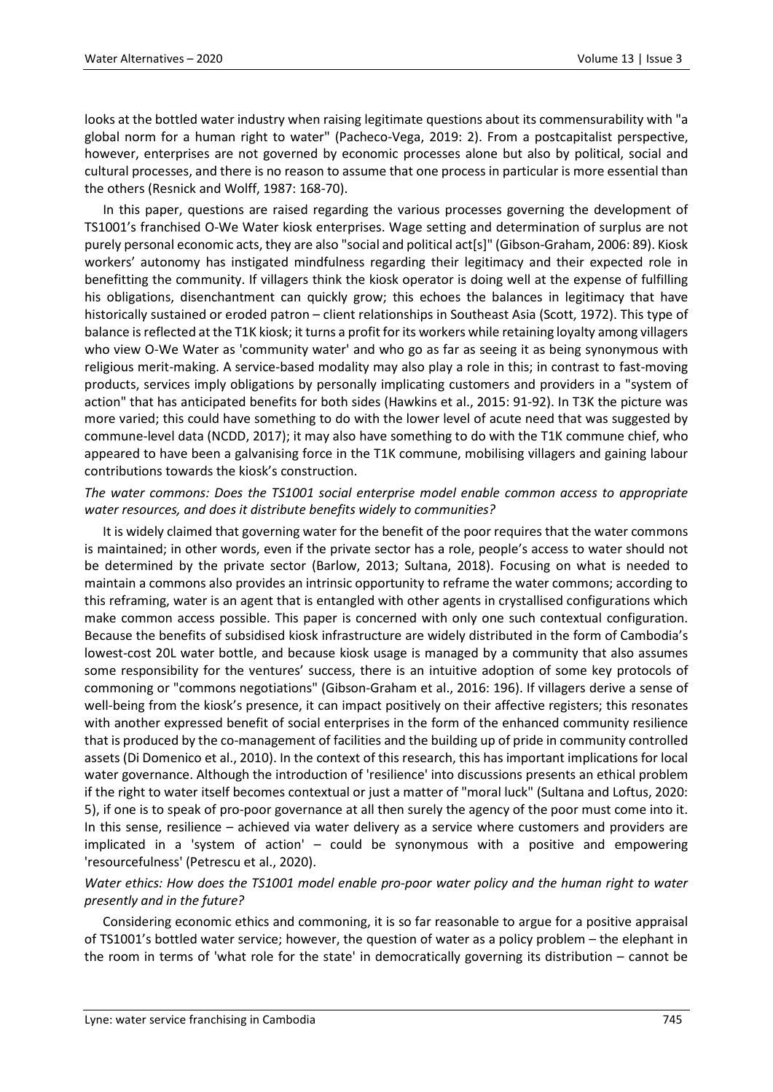looks at the bottled water industry when raising legitimate questions about its commensurability with "a global norm for a human right to water" (Pacheco-Vega, 2019: 2). From a postcapitalist perspective, however, enterprises are not governed by economic processes alone but also by political, social and cultural processes, and there is no reason to assume that one process in particular is more essential than the others (Resnick and Wolff, 1987: 168-70).

In this paper, questions are raised regarding the various processes governing the development of TS1001's franchised O-We Water kiosk enterprises. Wage setting and determination of surplus are not purely personal economic acts, they are also "social and political act[s]" (Gibson-Graham, 2006: 89). Kiosk workers' autonomy has instigated mindfulness regarding their legitimacy and their expected role in benefitting the community. If villagers think the kiosk operator is doing well at the expense of fulfilling his obligations, disenchantment can quickly grow; this echoes the balances in legitimacy that have historically sustained or eroded patron – client relationships in Southeast Asia (Scott, 1972). This type of balance is reflected at the T1K kiosk; it turns a profit for its workers while retaining loyalty among villagers who view O-We Water as 'community water' and who go as far as seeing it as being synonymous with religious merit-making. A service-based modality may also play a role in this; in contrast to fast-moving products, services imply obligations by personally implicating customers and providers in a "system of action" that has anticipated benefits for both sides (Hawkins et al., 2015: 91-92). In T3K the picture was more varied; this could have something to do with the lower level of acute need that was suggested by commune-level data (NCDD, 2017); it may also have something to do with the T1K commune chief, who appeared to have been a galvanising force in the T1K commune, mobilising villagers and gaining labour contributions towards the kiosk's construction.

# *The water commons: Does the TS1001 social enterprise model enable common access to appropriate water resources, and does it distribute benefits widely to communities?*

It is widely claimed that governing water for the benefit of the poor requires that the water commons is maintained; in other words, even if the private sector has a role, people's access to water should not be determined by the private sector (Barlow, 2013; Sultana, 2018). Focusing on what is needed to maintain a commons also provides an intrinsic opportunity to reframe the water commons; according to this reframing, water is an agent that is entangled with other agents in crystallised configurations which make common access possible. This paper is concerned with only one such contextual configuration. Because the benefits of subsidised kiosk infrastructure are widely distributed in the form of Cambodia's lowest-cost 20L water bottle, and because kiosk usage is managed by a community that also assumes some responsibility for the ventures' success, there is an intuitive adoption of some key protocols of commoning or "commons negotiations" (Gibson-Graham et al., 2016: 196). If villagers derive a sense of well-being from the kiosk's presence, it can impact positively on their affective registers; this resonates with another expressed benefit of social enterprises in the form of the enhanced community resilience that is produced by the co-management of facilities and the building up of pride in community controlled assets (Di Domenico et al., 2010). In the context of this research, this has important implications for local water governance. Although the introduction of 'resilience' into discussions presents an ethical problem if the right to water itself becomes contextual or just a matter of "moral luck" (Sultana and Loftus, 2020: 5), if one is to speak of pro-poor governance at all then surely the agency of the poor must come into it. In this sense, resilience – achieved via water delivery as a service where customers and providers are implicated in a 'system of action' – could be synonymous with a positive and empowering 'resourcefulness' (Petrescu et al., 2020).

# *Water ethics: How does the TS1001 model enable pro-poor water policy and the human right to water presently and in the future?*

Considering economic ethics and commoning, it is so far reasonable to argue for a positive appraisal of TS1001's bottled water service; however, the question of water as a policy problem – the elephant in the room in terms of 'what role for the state' in democratically governing its distribution – cannot be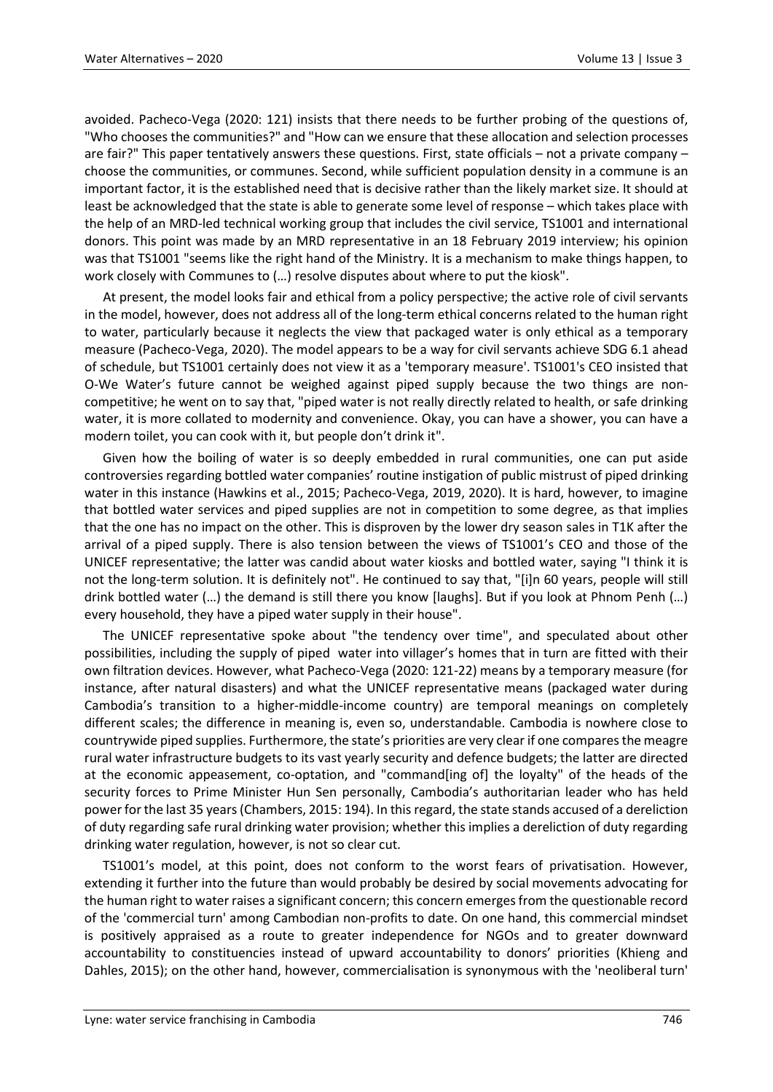avoided. Pacheco-Vega (2020: 121) insists that there needs to be further probing of the questions of, "Who chooses the communities?" and "How can we ensure that these allocation and selection processes are fair?" This paper tentatively answers these questions. First, state officials – not a private company – choose the communities, or communes. Second, while sufficient population density in a commune is an important factor, it is the established need that is decisive rather than the likely market size. It should at least be acknowledged that the state is able to generate some level of response – which takes place with the help of an MRD-led technical working group that includes the civil service, TS1001 and international donors. This point was made by an MRD representative in an 18 February 2019 interview; his opinion was that TS1001 "seems like the right hand of the Ministry. It is a mechanism to make things happen, to work closely with Communes to (…) resolve disputes about where to put the kiosk".

At present, the model looks fair and ethical from a policy perspective; the active role of civil servants in the model, however, does not address all of the long-term ethical concerns related to the human right to water, particularly because it neglects the view that packaged water is only ethical as a temporary measure (Pacheco-Vega, 2020). The model appears to be a way for civil servants achieve SDG 6.1 ahead of schedule, but TS1001 certainly does not view it as a 'temporary measure'. TS1001's CEO insisted that O-We Water's future cannot be weighed against piped supply because the two things are noncompetitive; he went on to say that, "piped water is not really directly related to health, or safe drinking water, it is more collated to modernity and convenience. Okay, you can have a shower, you can have a modern toilet, you can cook with it, but people don't drink it".

Given how the boiling of water is so deeply embedded in rural communities, one can put aside controversies regarding bottled water companies' routine instigation of public mistrust of piped drinking water in this instance (Hawkins et al., 2015; Pacheco-Vega, 2019, 2020). It is hard, however, to imagine that bottled water services and piped supplies are not in competition to some degree, as that implies that the one has no impact on the other. This is disproven by the lower dry season sales in T1K after the arrival of a piped supply. There is also tension between the views of TS1001's CEO and those of the UNICEF representative; the latter was candid about water kiosks and bottled water, saying "I think it is not the long-term solution. It is definitely not". He continued to say that, "[i]n 60 years, people will still drink bottled water (…) the demand is still there you know [laughs]. But if you look at Phnom Penh (…) every household, they have a piped water supply in their house".

The UNICEF representative spoke about "the tendency over time", and speculated about other possibilities, including the supply of piped water into villager's homes that in turn are fitted with their own filtration devices. However, what Pacheco-Vega (2020: 121-22) means by a temporary measure (for instance, after natural disasters) and what the UNICEF representative means (packaged water during Cambodia's transition to a higher-middle-income country) are temporal meanings on completely different scales; the difference in meaning is, even so, understandable. Cambodia is nowhere close to countrywide piped supplies. Furthermore, the state's priorities are very clear if one compares the meagre rural water infrastructure budgets to its vast yearly security and defence budgets; the latter are directed at the economic appeasement, co-optation, and "command[ing of] the loyalty" of the heads of the security forces to Prime Minister Hun Sen personally, Cambodia's authoritarian leader who has held power for the last 35 years (Chambers, 2015: 194). In this regard, the state stands accused of a dereliction of duty regarding safe rural drinking water provision; whether this implies a dereliction of duty regarding drinking water regulation, however, is not so clear cut.

TS1001's model, at this point, does not conform to the worst fears of privatisation. However, extending it further into the future than would probably be desired by social movements advocating for the human right to water raises a significant concern; this concern emerges from the questionable record of the 'commercial turn' among Cambodian non-profits to date. On one hand, this commercial mindset is positively appraised as a route to greater independence for NGOs and to greater downward accountability to constituencies instead of upward accountability to donors' priorities (Khieng and Dahles, 2015); on the other hand, however, commercialisation is synonymous with the 'neoliberal turn'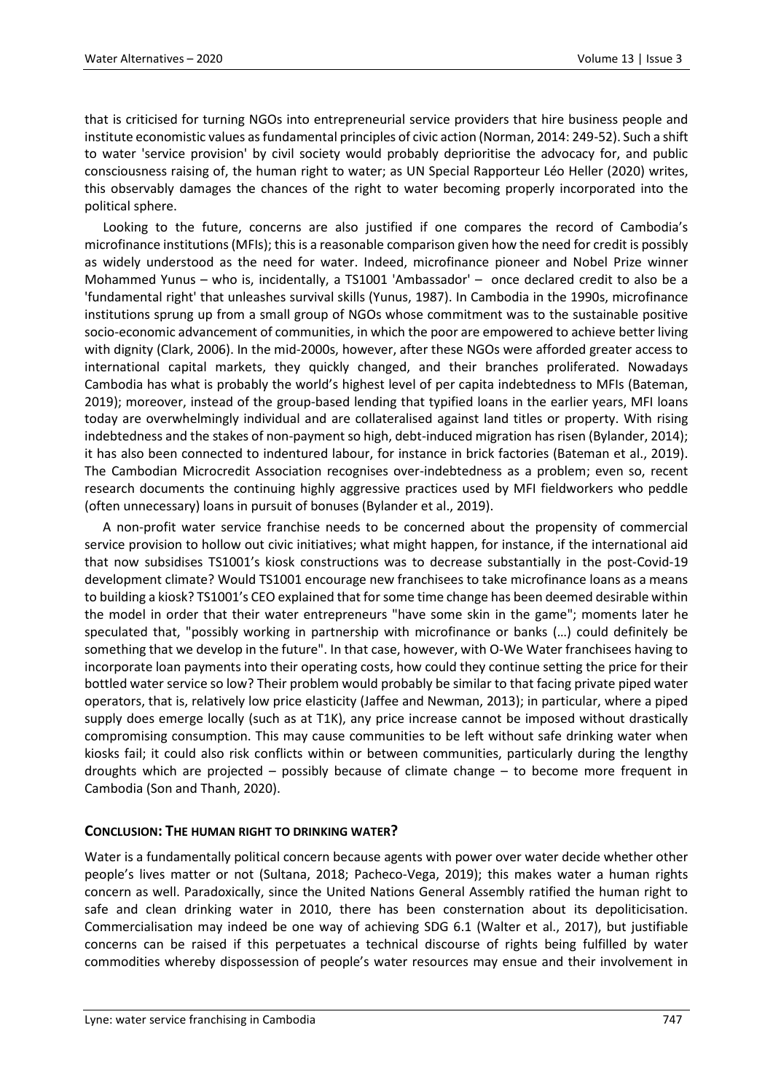that is criticised for turning NGOs into entrepreneurial service providers that hire business people and institute economistic values as fundamental principles of civic action (Norman, 2014: 249-52). Such a shift to water 'service provision' by civil society would probably deprioritise the advocacy for, and public consciousness raising of, the human right to water; as UN Special Rapporteur Léo Heller (2020) writes, this observably damages the chances of the right to water becoming properly incorporated into the political sphere.

Looking to the future, concerns are also justified if one compares the record of Cambodia's microfinance institutions (MFIs); this is a reasonable comparison given how the need for credit is possibly as widely understood as the need for water. Indeed, microfinance pioneer and Nobel Prize winner Mohammed Yunus – who is, incidentally, a TS1001 'Ambassador' – once declared credit to also be a 'fundamental right' that unleashes survival skills (Yunus, 1987). In Cambodia in the 1990s, microfinance institutions sprung up from a small group of NGOs whose commitment was to the sustainable positive socio-economic advancement of communities, in which the poor are empowered to achieve better living with dignity (Clark, 2006). In the mid-2000s, however, after these NGOs were afforded greater access to international capital markets, they quickly changed, and their branches proliferated. Nowadays Cambodia has what is probably the world's highest level of per capita indebtedness to MFIs (Bateman, 2019); moreover, instead of the group-based lending that typified loans in the earlier years, MFI loans today are overwhelmingly individual and are collateralised against land titles or property. With rising indebtedness and the stakes of non-payment so high, debt-induced migration has risen (Bylander, 2014); it has also been connected to indentured labour, for instance in brick factories (Bateman et al., 2019). The Cambodian Microcredit Association recognises over-indebtedness as a problem; even so, recent research documents the continuing highly aggressive practices used by MFI fieldworkers who peddle (often unnecessary) loans in pursuit of bonuses (Bylander et al., 2019).

A non-profit water service franchise needs to be concerned about the propensity of commercial service provision to hollow out civic initiatives; what might happen, for instance, if the international aid that now subsidises TS1001's kiosk constructions was to decrease substantially in the post-Covid-19 development climate? Would TS1001 encourage new franchisees to take microfinance loans as a means to building a kiosk? TS1001's CEO explained that for some time change has been deemed desirable within the model in order that their water entrepreneurs "have some skin in the game"; moments later he speculated that, "possibly working in partnership with microfinance or banks (…) could definitely be something that we develop in the future". In that case, however, with O-We Water franchisees having to incorporate loan payments into their operating costs, how could they continue setting the price for their bottled water service so low? Their problem would probably be similar to that facing private piped water operators, that is, relatively low price elasticity (Jaffee and Newman, 2013); in particular, where a piped supply does emerge locally (such as at T1K), any price increase cannot be imposed without drastically compromising consumption. This may cause communities to be left without safe drinking water when kiosks fail; it could also risk conflicts within or between communities, particularly during the lengthy droughts which are projected – possibly because of climate change – to become more frequent in Cambodia (Son and Thanh, 2020).

### **CONCLUSION: THE HUMAN RIGHT TO DRINKING WATER?**

Water is a fundamentally political concern because agents with power over water decide whether other people's lives matter or not (Sultana, 2018; Pacheco-Vega, 2019); this makes water a human rights concern as well. Paradoxically, since the United Nations General Assembly ratified the human right to safe and clean drinking water in 2010, there has been consternation about its depoliticisation. Commercialisation may indeed be one way of achieving SDG 6.1 (Walter et al., 2017), but justifiable concerns can be raised if this perpetuates a technical discourse of rights being fulfilled by water commodities whereby dispossession of people's water resources may ensue and their involvement in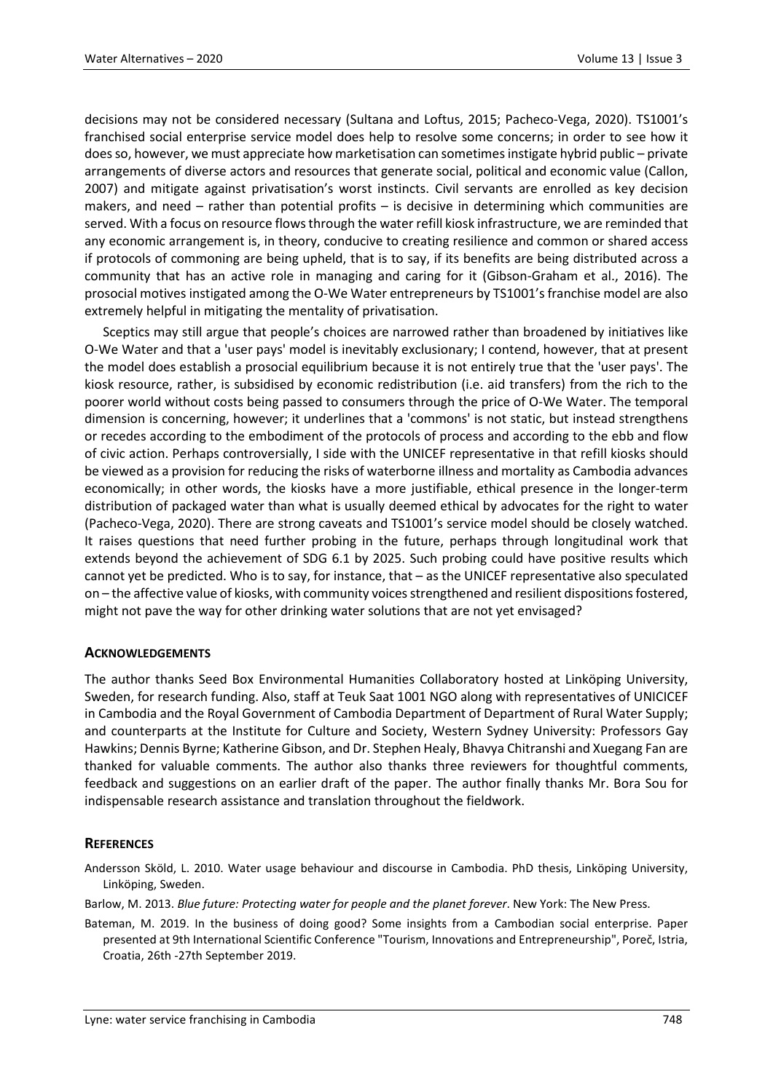decisions may not be considered necessary (Sultana and Loftus, 2015; Pacheco-Vega, 2020). TS1001's franchised social enterprise service model does help to resolve some concerns; in order to see how it does so, however, we must appreciate how marketisation can sometimes instigate hybrid public – private arrangements of diverse actors and resources that generate social, political and economic value (Callon, 2007) and mitigate against privatisation's worst instincts. Civil servants are enrolled as key decision makers, and need – rather than potential profits – is decisive in determining which communities are served. With a focus on resource flows through the water refill kiosk infrastructure, we are reminded that any economic arrangement is, in theory, conducive to creating resilience and common or shared access if protocols of commoning are being upheld, that is to say, if its benefits are being distributed across a community that has an active role in managing and caring for it (Gibson-Graham et al., 2016). The prosocial motives instigated among the O-We Water entrepreneurs by TS1001's franchise model are also extremely helpful in mitigating the mentality of privatisation.

Sceptics may still argue that people's choices are narrowed rather than broadened by initiatives like O-We Water and that a 'user pays' model is inevitably exclusionary; I contend, however, that at present the model does establish a prosocial equilibrium because it is not entirely true that the 'user pays'. The kiosk resource, rather, is subsidised by economic redistribution (i.e. aid transfers) from the rich to the poorer world without costs being passed to consumers through the price of O-We Water. The temporal dimension is concerning, however; it underlines that a 'commons' is not static, but instead strengthens or recedes according to the embodiment of the protocols of process and according to the ebb and flow of civic action. Perhaps controversially, I side with the UNICEF representative in that refill kiosks should be viewed as a provision for reducing the risks of waterborne illness and mortality as Cambodia advances economically; in other words, the kiosks have a more justifiable, ethical presence in the longer-term distribution of packaged water than what is usually deemed ethical by advocates for the right to water (Pacheco-Vega, 2020). There are strong caveats and TS1001's service model should be closely watched. It raises questions that need further probing in the future, perhaps through longitudinal work that extends beyond the achievement of SDG 6.1 by 2025. Such probing could have positive results which cannot yet be predicted. Who is to say, for instance, that – as the UNICEF representative also speculated on – the affective value of kiosks, with community voices strengthened and resilient dispositions fostered, might not pave the way for other drinking water solutions that are not yet envisaged?

### **ACKNOWLEDGEMENTS**

The author thanks Seed Box Environmental Humanities Collaboratory hosted at Linköping University, Sweden, for research funding. Also, staff at Teuk Saat 1001 NGO along with representatives of UNICICEF in Cambodia and the Royal Government of Cambodia Department of Department of Rural Water Supply; and counterparts at the Institute for Culture and Society, Western Sydney University: Professors Gay Hawkins; Dennis Byrne; Katherine Gibson, and Dr. Stephen Healy, Bhavya Chitranshi and Xuegang Fan are thanked for valuable comments. The author also thanks three reviewers for thoughtful comments, feedback and suggestions on an earlier draft of the paper. The author finally thanks Mr. Bora Sou for indispensable research assistance and translation throughout the fieldwork.

### **REFERENCES**

Andersson Sköld, L. 2010. Water usage behaviour and discourse in Cambodia. PhD thesis, Linköping University, Linköping, Sweden.

Barlow, M. 2013. *Blue future: Protecting water for people and the planet forever*. New York: The New Press.

Bateman, M. 2019. In the business of doing good? Some insights from a Cambodian social enterprise. Paper presented at 9th International Scientific Conference "Tourism, Innovations and Entrepreneurship", Poreč, Istria, Croatia, 26th -27th September 2019.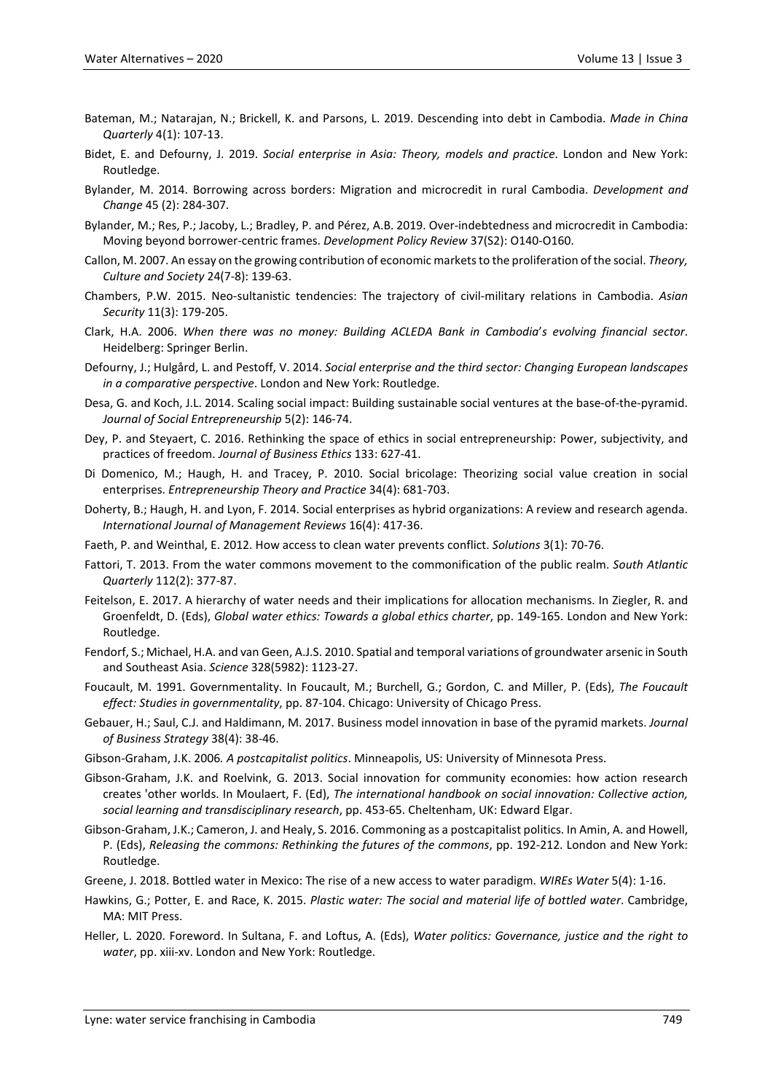- Bateman, M.; Natarajan, N.; Brickell, K. and Parsons, L. 2019. Descending into debt in Cambodia. *Made in China Quarterly* 4(1): 107-13.
- Bidet, E. and Defourny, J. 2019. *Social enterprise in Asia: Theory, models and practice*. London and New York: Routledge.
- Bylander, M. 2014. Borrowing across borders: Migration and microcredit in rural Cambodia. *Development and Change* 45 (2): 284-307.
- Bylander, M.; Res, P.; Jacoby, L.; Bradley, P. and Pérez, A.B. 2019. Over-indebtedness and microcredit in Cambodia: Moving beyond borrower-centric frames. *Development Policy Review* 37(S2): O140-O160.
- Callon, M. 2007. An essay on the growing contribution of economic markets to the proliferation of the social. *Theory, Culture and Society* 24(7-8): 139-63.
- Chambers, P.W. 2015. Neo-sultanistic tendencies: The trajectory of civil-military relations in Cambodia. *Asian Security* 11(3): 179-205.
- Clark, H.A. 2006. *When there was no money: Building ACLEDA Bank in Cambodia*'*s evolving financial sector*. Heidelberg: Springer Berlin.
- Defourny, J.; Hulgård, L. and Pestoff, V. 2014. *Social enterprise and the third sector: Changing European landscapes in a comparative perspective*. London and New York: Routledge.
- Desa, G. and Koch, J.L. 2014. Scaling social impact: Building sustainable social ventures at the base-of-the-pyramid. *Journal of Social Entrepreneurship* 5(2): 146-74.
- Dey, P. and Steyaert, C. 2016. Rethinking the space of ethics in social entrepreneurship: Power, subjectivity, and practices of freedom. *Journal of Business Ethics* 133: 627-41.
- Di Domenico, M.; Haugh, H. and Tracey, P. 2010. Social bricolage: Theorizing social value creation in social enterprises. *Entrepreneurship Theory and Practice* 34(4): 681-703.
- Doherty, B.; Haugh, H. and Lyon, F. 2014. Social enterprises as hybrid organizations: A review and research agenda. *International Journal of Management Reviews* 16(4): 417-36.
- Faeth, P. and Weinthal, E. 2012. How access to clean water prevents conflict. *Solutions* 3(1): 70-76.
- Fattori, T. 2013. From the water commons movement to the commonification of the public realm. *South Atlantic Quarterly* 112(2): 377-87.
- Feitelson, E. 2017. A hierarchy of water needs and their implications for allocation mechanisms. In Ziegler, R. and Groenfeldt, D. (Eds), *Global water ethics: Towards a global ethics charter*, pp. 149-165. London and New York: Routledge.
- Fendorf, S.; Michael, H.A. and van Geen, A.J.S. 2010. Spatial and temporal variations of groundwater arsenic in South and Southeast Asia. *Science* 328(5982): 1123-27.
- Foucault, M. 1991. Governmentality. In Foucault, M.; Burchell, G.; Gordon, C. and Miller, P. (Eds), *The Foucault effect: Studies in governmentality*, pp. 87-104. Chicago: University of Chicago Press.
- Gebauer, H.; Saul, C.J. and Haldimann, M. 2017. Business model innovation in base of the pyramid markets. *Journal of Business Strategy* 38(4): 38-46.
- Gibson-Graham, J.K. 2006*. A postcapitalist politics*. Minneapolis, US: University of Minnesota Press.
- Gibson-Graham, J.K. and Roelvink, G. 2013. Social innovation for community economies: how action research creates 'other worlds. In Moulaert, F. (Ed), *The international handbook on social innovation: Collective action, social learning and transdisciplinary research*, pp. 453-65. Cheltenham, UK: Edward Elgar.
- Gibson-Graham, J.K.; Cameron, J. and Healy, S. 2016. Commoning as a postcapitalist politics. In Amin, A. and Howell, P. (Eds), *Releasing the commons: Rethinking the futures of the commons*, pp. 192-212. London and New York: Routledge.
- Greene, J. 2018. Bottled water in Mexico: The rise of a new access to water paradigm. *WIREs Water* 5(4): 1-16.
- Hawkins, G.; Potter, E. and Race, K. 2015. *Plastic water: The social and material life of bottled water*. Cambridge, MA: MIT Press.
- Heller, L. 2020. Foreword. In Sultana, F. and Loftus, A. (Eds), *Water politics: Governance, justice and the right to water*, pp. xiii-xv. London and New York: Routledge.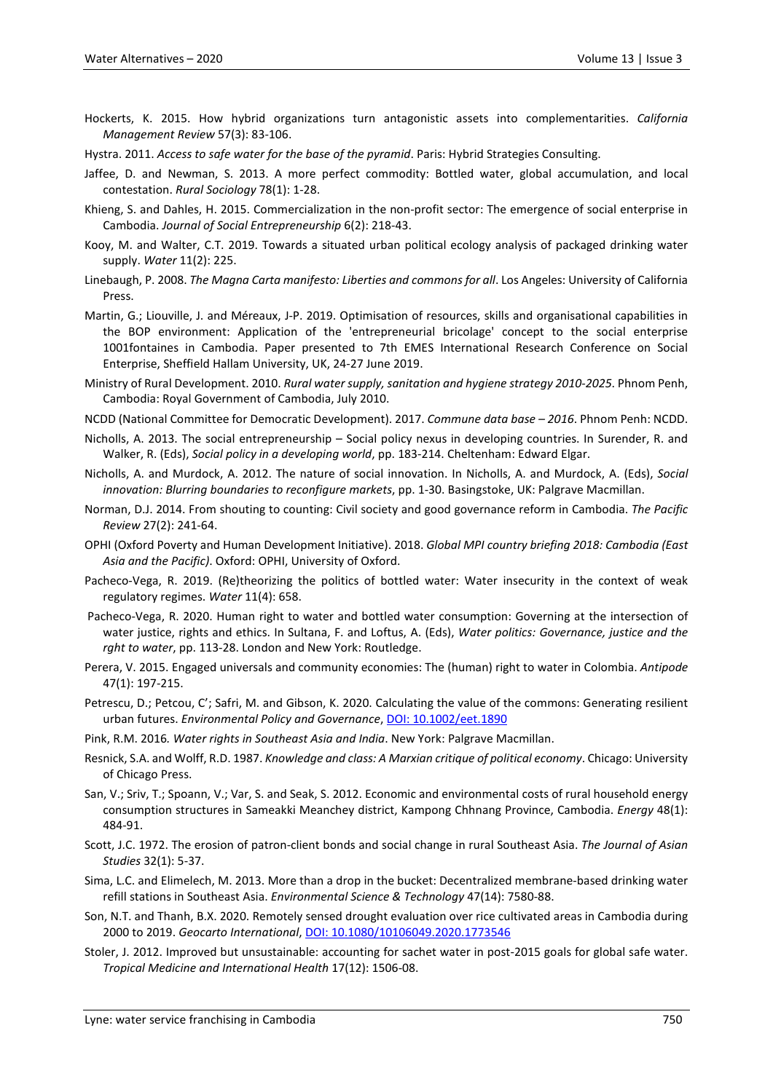- Hockerts, K. 2015. How hybrid organizations turn antagonistic assets into complementarities. *California Management Review* 57(3): 83-106.
- Hystra. 2011. *Access to safe water for the base of the pyramid*. Paris: Hybrid Strategies Consulting.
- Jaffee, D. and Newman, S. 2013. A more perfect commodity: Bottled water, global accumulation, and local contestation. *Rural Sociology* 78(1): 1-28.
- Khieng, S. and Dahles, H. 2015. Commercialization in the non-profit sector: The emergence of social enterprise in Cambodia. *Journal of Social Entrepreneurship* 6(2): 218-43.
- Kooy, M. and Walter, C.T. 2019. Towards a situated urban political ecology analysis of packaged drinking water supply. *Water* 11(2): 225.
- Linebaugh, P. 2008. *The Magna Carta manifesto: Liberties and commons for all*. Los Angeles: University of California **Press**
- Martin, G.; Liouville, J. and Méreaux, J-P. 2019. Optimisation of resources, skills and organisational capabilities in the BOP environment: Application of the 'entrepreneurial bricolage' concept to the social enterprise 1001fontaines in Cambodia. Paper presented to 7th EMES International Research Conference on Social Enterprise, Sheffield Hallam University, UK, 24-27 June 2019.
- Ministry of Rural Development. 2010. *Rural water supply, sanitation and hygiene strategy 2010-2025*. Phnom Penh, Cambodia: Royal Government of Cambodia, July 2010.
- NCDD (National Committee for Democratic Development). 2017. *Commune data base – 2016*. Phnom Penh: NCDD.
- Nicholls, A. 2013. The social entrepreneurship Social policy nexus in developing countries. In Surender, R. and Walker, R. (Eds), *Social policy in a developing world*, pp. 183-214. Cheltenham: Edward Elgar.
- Nicholls, A. and Murdock, A. 2012. The nature of social innovation. In Nicholls, A. and Murdock, A. (Eds), *Social innovation: Blurring boundaries to reconfigure markets*, pp. 1-30. Basingstoke, UK: Palgrave Macmillan.
- Norman, D.J. 2014. From shouting to counting: Civil society and good governance reform in Cambodia. *The Pacific Review* 27(2): 241-64.
- OPHI (Oxford Poverty and Human Development Initiative). 2018. *Global MPI country briefing 2018: Cambodia (East Asia and the Pacific)*. Oxford: OPHI, University of Oxford.
- Pacheco-Vega, R. 2019. (Re)theorizing the politics of bottled water: Water insecurity in the context of weak regulatory regimes. *Water* 11(4): 658.
- Pacheco-Vega, R. 2020. Human right to water and bottled water consumption: Governing at the intersection of water justice, rights and ethics. In Sultana, F. and Loftus, A. (Eds), *Water politics: Governance, justice and the rght to water*, pp. 113-28. London and New York: Routledge.
- Perera, V. 2015. Engaged universals and community economies: The (human) right to water in Colombia. *Antipode* 47(1): 197-215.
- Petrescu, D.; Petcou, C'; Safri, M. and Gibson, K. 2020. Calculating the value of the commons: Generating resilient urban futures. *Environmental Policy and Governance*, [DOI: 10.1002/eet.1890](doi:%2010.1002/eet.1890)
- Pink, R.M. 2016*. Water rights in Southeast Asia and India*. New York: Palgrave Macmillan.
- Resnick, S.A. and Wolff, R.D. 1987. *Knowledge and class: A Marxian critique of political economy*. Chicago: University of Chicago Press.
- San, V.; Sriv, T.; Spoann, V.; Var, S. and Seak, S. 2012. Economic and environmental costs of rural household energy consumption structures in Sameakki Meanchey district, Kampong Chhnang Province, Cambodia. *Energy* 48(1): 484-91.
- Scott, J.C. 1972. The erosion of patron-client bonds and social change in rural Southeast Asia. *The Journal of Asian Studies* 32(1): 5-37.
- Sima, L.C. and Elimelech, M. 2013. More than a drop in the bucket: Decentralized membrane-based drinking water refill stations in Southeast Asia. *Environmental Science & Technology* 47(14): 7580-88.
- Son, N.T. and Thanh, B.X. 2020. Remotely sensed drought evaluation over rice cultivated areas in Cambodia during 2000 to 2019. *Geocarto International*, [DOI: 10.1080/10106049.2020.1773546](doi:%2010.1080/10106049.2020.1773546)
- Stoler, J. 2012. Improved but unsustainable: accounting for sachet water in post-2015 goals for global safe water. *Tropical Medicine and International Health* 17(12): 1506-08.